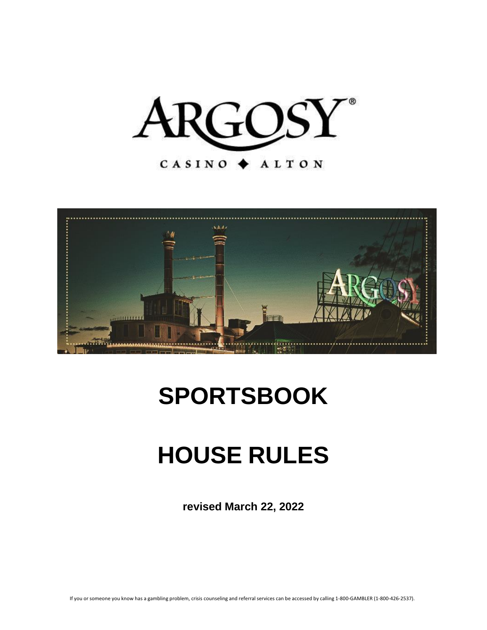



# **SPORTSBOOK**

# **HOUSE RULES**

**revised March 22, 2022**

If you or someone you know has a gambling problem, crisis counseling and referral services can be accessed by calling 1-800-GAMBLER (1-800-426-2537).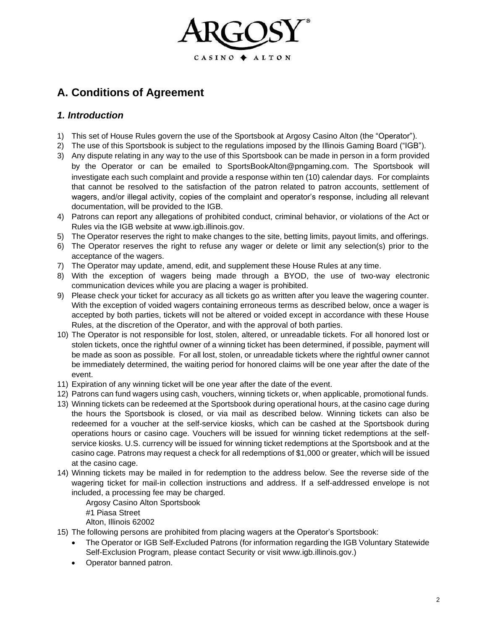

# **A. Conditions of Agreement**

# *1. Introduction*

- 1) This set of House Rules govern the use of the Sportsbook at Argosy Casino Alton (the "Operator").
- 2) The use of this Sportsbook is subject to the regulations imposed by the Illinois Gaming Board ("IGB").
- 3) Any dispute relating in any way to the use of this Sportsbook can be made in person in a form provided by the Operator or can be emailed to [SportsBookAlton@pngaming.com](mailto:SportsBookAlton@pngaming.com)[.](mailto:SportsBookAlton@pngaming.com) The Sportsbook will investigate each such complaint and provide a response within ten (10) calendar days. For complaints that cannot be resolved to the satisfaction of the patron related to patron accounts, settlement of wagers, and/or illegal activity, copies of the complaint and operator's response, including all relevant documentation, will be provided to the IGB.
- 4) Patrons can report any allegations of prohibited conduct, criminal behavior, or violations of the Act or Rules via the IGB website at [www.igb.illinois.gov.](http://www.igb.illinois.gov/)
- 5) The Operator reserves the right to make changes to the site, betting limits, payout limits, and offerings.
- 6) The Operator reserves the right to refuse any wager or delete or limit any selection(s) prior to the acceptance of the wagers.
- 7) The Operator may update, amend, edit, and supplement these House Rules at any time.
- 8) With the exception of wagers being made through a BYOD, the use of two-way electronic communication devices while you are placing a wager is prohibited.
- 9) Please check your ticket for accuracy as all tickets go as written after you leave the wagering counter. With the exception of voided wagers containing erroneous terms as described below, once a wager is accepted by both parties, tickets will not be altered or voided except in accordance with these House Rules, at the discretion of the Operator, and with the approval of both parties.
- 10) The Operator is not responsible for lost, stolen, altered, or unreadable tickets. For all honored lost or stolen tickets, once the rightful owner of a winning ticket has been determined, if possible, payment will be made as soon as possible. For all lost, stolen, or unreadable tickets where the rightful owner cannot be immediately determined, the waiting period for honored claims will be one year after the date of the event.
- 11) Expiration of any winning ticket will be one year after the date of the event.
- 12) Patrons can fund wagers using cash, vouchers, winning tickets or, when applicable, promotional funds.
- 13) Winning tickets can be redeemed at the Sportsbook during operational hours, at the casino cage during the hours the Sportsbook is closed, or via mail as described below. Winning tickets can also be redeemed for a voucher at the self-service kiosks, which can be cashed at the Sportsbook during operations hours or casino cage. Vouchers will be issued for winning ticket redemptions at the selfservice kiosks. U.S. currency will be issued for winning ticket redemptions at the Sportsbook and at the casino cage. Patrons may request a check for all redemptions of \$1,000 or greater, which will be issued at the casino cage.
- 14) Winning tickets may be mailed in for redemption to the address below. See the reverse side of the wagering ticket for mail-in collection instructions and address. If a self-addressed envelope is not included, a processing fee may be charged.

Argosy Casino Alton Sportsbook

#1 Piasa Street

Alton, Illinois 62002

- 15) The following persons are prohibited from placing wagers at the Operator's Sportsbook:
	- The Operator or IGB Self-Excluded Patrons (for information regarding the IGB Voluntary Statewide Self-Exclusion Program, please contact Security or visit www.igb.illinois.gov.)
	- Operator banned patron.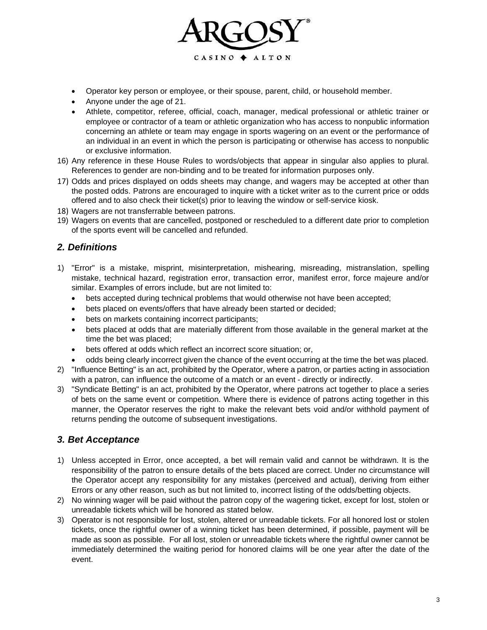

- Operator key person or employee, or their spouse, parent, child, or household member.
- Anyone under the age of 21.
- Athlete, competitor, referee, official, coach, manager, medical professional or athletic trainer or employee or contractor of a team or athletic organization who has access to nonpublic information concerning an athlete or team may engage in sports wagering on an event or the performance of an individual in an event in which the person is participating or otherwise has access to nonpublic or exclusive information.
- 16) Any reference in these House Rules to words/objects that appear in singular also applies to plural. References to gender are non-binding and to be treated for information purposes only.
- 17) Odds and prices displayed on odds sheets may change, and wagers may be accepted at other than the posted odds. Patrons are encouraged to inquire with a ticket writer as to the current price or odds offered and to also check their ticket(s) prior to leaving the window or self-service kiosk.
- 18) Wagers are not transferrable between patrons.
- 19) Wagers on events that are cancelled, postponed or rescheduled to a different date prior to completion of the sports event will be cancelled and refunded.

# *2. Definitions*

- 1) "Error" is a mistake, misprint, misinterpretation, mishearing, misreading, mistranslation, spelling mistake, technical hazard, registration error, transaction error, manifest error, force majeure and/or similar. Examples of errors include, but are not limited to:
	- bets accepted during technical problems that would otherwise not have been accepted;
	- bets placed on events/offers that have already been started or decided;
	- bets on markets containing incorrect participants;
	- bets placed at odds that are materially different from those available in the general market at the time the bet was placed;
	- bets offered at odds which reflect an incorrect score situation; or,
	- odds being clearly incorrect given the chance of the event occurring at the time the bet was placed.
- 2) "Influence Betting" is an act, prohibited by the Operator, where a patron, or parties acting in association with a patron, can influence the outcome of a match or an event - directly or indirectly.
- 3) "Syndicate Betting" is an act, prohibited by the Operator, where patrons act together to place a series of bets on the same event or competition. Where there is evidence of patrons acting together in this manner, the Operator reserves the right to make the relevant bets void and/or withhold payment of returns pending the outcome of subsequent investigations.

#### *3. Bet Acceptance*

- 1) Unless accepted in Error, once accepted, a bet will remain valid and cannot be withdrawn. It is the responsibility of the patron to ensure details of the bets placed are correct. Under no circumstance will the Operator accept any responsibility for any mistakes (perceived and actual), deriving from either Errors or any other reason, such as but not limited to, incorrect listing of the odds/betting objects.
- 2) No winning wager will be paid without the patron copy of the wagering ticket, except for lost, stolen or unreadable tickets which will be honored as stated below.
- 3) Operator is not responsible for lost, stolen, altered or unreadable tickets. For all honored lost or stolen tickets, once the rightful owner of a winning ticket has been determined, if possible, payment will be made as soon as possible. For all lost, stolen or unreadable tickets where the rightful owner cannot be immediately determined the waiting period for honored claims will be one year after the date of the event.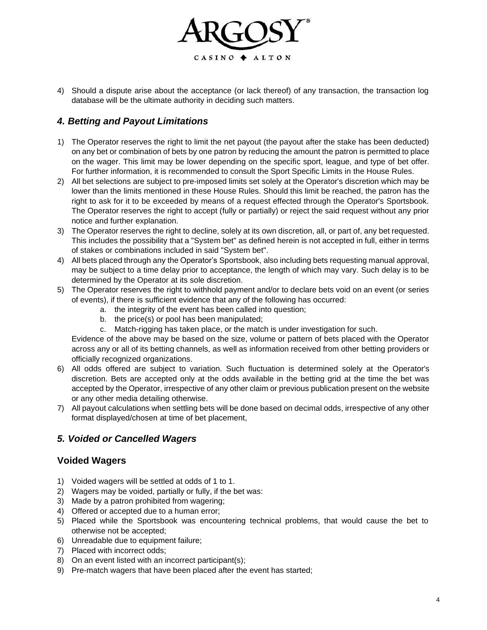

4) Should a dispute arise about the acceptance (or lack thereof) of any transaction, the transaction log database will be the ultimate authority in deciding such matters.

# *4. Betting and Payout Limitations*

- 1) The Operator reserves the right to limit the net payout (the payout after the stake has been deducted) on any bet or combination of bets by one patron by reducing the amount the patron is permitted to place on the wager. This limit may be lower depending on the specific sport, league, and type of bet offer. For further information, it is recommended to consult the Sport Specific Limits in the House Rules.
- 2) All bet selections are subject to pre-imposed limits set solely at the Operator's discretion which may be lower than the limits mentioned in these House Rules. Should this limit be reached, the patron has the right to ask for it to be exceeded by means of a request effected through the Operator's Sportsbook. The Operator reserves the right to accept (fully or partially) or reject the said request without any prior notice and further explanation.
- 3) The Operator reserves the right to decline, solely at its own discretion, all, or part of, any bet requested. This includes the possibility that a "System bet" as defined herein is not accepted in full, either in terms of stakes or combinations included in said "System bet".
- 4) All bets placed through any the Operator's Sportsbook, also including bets requesting manual approval, may be subject to a time delay prior to acceptance, the length of which may vary. Such delay is to be determined by the Operator at its sole discretion.
- 5) The Operator reserves the right to withhold payment and/or to declare bets void on an event (or series of events), if there is sufficient evidence that any of the following has occurred:
	- a. the integrity of the event has been called into question;
	- b. the price(s) or pool has been manipulated;
	- c. Match-rigging has taken place, or the match is under investigation for such.

Evidence of the above may be based on the size, volume or pattern of bets placed with the Operator across any or all of its betting channels, as well as information received from other betting providers or officially recognized organizations.

- 6) All odds offered are subject to variation. Such fluctuation is determined solely at the Operator's discretion. Bets are accepted only at the odds available in the betting grid at the time the bet was accepted by the Operator, irrespective of any other claim or previous publication present on the website or any other media detailing otherwise.
- 7) All payout calculations when settling bets will be done based on decimal odds, irrespective of any other format displayed/chosen at time of bet placement,

# *5. Voided or Cancelled Wagers*

#### **Voided Wagers**

- 1) Voided wagers will be settled at odds of 1 to 1.
- 2) Wagers may be voided, partially or fully, if the bet was:
- 3) Made by a patron prohibited from wagering;
- 4) Offered or accepted due to a human error;
- 5) Placed while the Sportsbook was encountering technical problems, that would cause the bet to otherwise not be accepted;
- 6) Unreadable due to equipment failure;
- 7) Placed with incorrect odds;
- 8) On an event listed with an incorrect participant(s);
- 9) Pre-match wagers that have been placed after the event has started;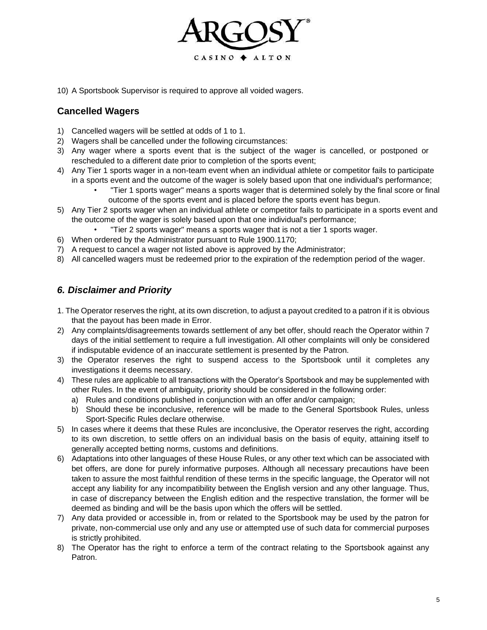

10) A Sportsbook Supervisor is required to approve all voided wagers.

# **Cancelled Wagers**

- 1) Cancelled wagers will be settled at odds of 1 to 1.
- 2) Wagers shall be cancelled under the following circumstances:
- 3) Any wager where a sports event that is the subject of the wager is cancelled, or postponed or rescheduled to a different date prior to completion of the sports event;
- 4) Any Tier 1 sports wager in a non-team event when an individual athlete or competitor fails to participate in a sports event and the outcome of the wager is solely based upon that one individual's performance;
	- "Tier 1 sports wager" means a sports wager that is determined solely by the final score or final outcome of the sports event and is placed before the sports event has begun.
- 5) Any Tier 2 sports wager when an individual athlete or competitor fails to participate in a sports event and the outcome of the wager is solely based upon that one individual's performance;
	- "Tier 2 sports wager" means a sports wager that is not a tier 1 sports wager.
- 6) When ordered by the Administrator pursuant to Rule 1900.1170;
- 7) A request to cancel a wager not listed above is approved by the Administrator;
- 8) All cancelled wagers must be redeemed prior to the expiration of the redemption period of the wager.

# *6. Disclaimer and Priority*

- 1. The Operator reserves the right, at its own discretion, to adjust a payout credited to a patron if it is obvious that the payout has been made in Error.
- 2) Any complaints/disagreements towards settlement of any bet offer, should reach the Operator within 7 days of the initial settlement to require a full investigation. All other complaints will only be considered if indisputable evidence of an inaccurate settlement is presented by the Patron.
- 3) the Operator reserves the right to suspend access to the Sportsbook until it completes any investigations it deems necessary.
- 4) These rules are applicable to all transactions with the Operator's Sportsbook and may be supplemented with other Rules. In the event of ambiguity, priority should be considered in the following order:
	- a) Rules and conditions published in conjunction with an offer and/or campaign;
	- b) Should these be inconclusive, reference will be made to the General Sportsbook Rules, unless Sport-Specific Rules declare otherwise.
- 5) In cases where it deems that these Rules are inconclusive, the Operator reserves the right, according to its own discretion, to settle offers on an individual basis on the basis of equity, attaining itself to generally accepted betting norms, customs and definitions.
- 6) Adaptations into other languages of these House Rules, or any other text which can be associated with bet offers, are done for purely informative purposes. Although all necessary precautions have been taken to assure the most faithful rendition of these terms in the specific language, the Operator will not accept any liability for any incompatibility between the English version and any other language. Thus, in case of discrepancy between the English edition and the respective translation, the former will be deemed as binding and will be the basis upon which the offers will be settled.
- 7) Any data provided or accessible in, from or related to the Sportsbook may be used by the patron for private, non-commercial use only and any use or attempted use of such data for commercial purposes is strictly prohibited.
- 8) The Operator has the right to enforce a term of the contract relating to the Sportsbook against any Patron.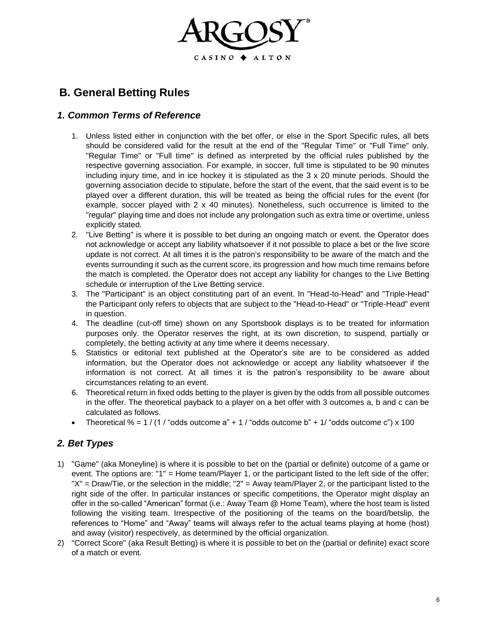

# **B. General Betting Rules**

#### *1. Common Terms of Reference*

- 1. Unless listed either in conjunction with the bet offer, or else in the Sport Specific rules, all bets should be considered valid for the result at the end of the "Regular Time" or "Full Time" only. "Regular Time" or "Full time" is defined as interpreted by the official rules published by the respective governing association. For example, in soccer, full time is stipulated to be 90 minutes including injury time, and in ice hockey it is stipulated as the  $3 \times 20$  minute periods. Should the governing association decide to stipulate, before the start of the event, that the said event is to be played over a different duration, this will be treated as being the official rules for the event (for example, soccer played with  $2 \times 40$  minutes). Nonetheless, such occurrence is limited to the "regular" playing time and does not include any prolongation such as extra time or overtime, unless explicitly stated.
- 2. "Live Betting" is where it is possible to bet during an ongoing match or event. the Operator does not acknowledge or accept any liability whatsoever if it not possible to place a bet or the live score update is not correct. At all times it is the patron's responsibility to be aware of the match and the events surrounding it such as the current score, its progression and how much time remains before the match is completed. the Operator does not accept any liability for changes to the Live Betting schedule or interruption of the Live Betting service.
- 3. The "Participant" is an object constituting part of an event. In "Head-to-Head" and "Triple-Head" the Participant only refers to objects that are subject to the "Head-to-Head" or "Triple-Head" event in question.
- 4. The deadline (cut-off time) shown on any Sportsbook displays is to be treated for information purposes only. the Operator reserves the right, at its own discretion, to suspend, partially or completely, the betting activity at any time where it deems necessary.
- 5. Statistics or editorial text published at the Operator's site are to be considered as added information, but the Operator does not acknowledge or accept any liability whatsoever if the information is not correct. At all times it is the patron's responsibility to be aware about circumstances relating to an event.
- 6. Theoretical return in fixed odds betting to the player is given by the odds from all possible outcomes in the offer. The theoretical payback to a player on a bet offer with 3 outcomes a, b and c can be calculated as follows.
- Theoretical % =  $1/(1/\text{ }^{\prime}\text{odds}$  outcome a" +  $1/\text{ }^{\prime}\text{odds}$  outcome b" +  $1/\text{ }^{\prime}\text{odds}$  outcome c") x 100

# *2. Bet Types*

- 1) "Game" (aka Moneyline) is where it is possible to bet on the (partial or definite) outcome of a game or event. The options are: "1" = Home team/Player 1, or the participant listed to the left side of the offer; "X" = Draw/Tie, or the selection in the middle; "2" = Away team/Player 2, or the participant listed to the right side of the offer. In particular instances or specific competitions, the Operator might display an offer in the so-called "American" format (i.e.: Away Team @ Home Team), where the host team is listed following the visiting team. Irrespective of the positioning of the teams on the board/betslip, the references to "Home" and "Away" teams will always refer to the actual teams playing at home (host) and away (visitor) respectively, as determined by the official organization.
- 2) "Correct Score" (aka Result Betting) is where it is possible to bet on the (partial or definite) exact score of a match or event.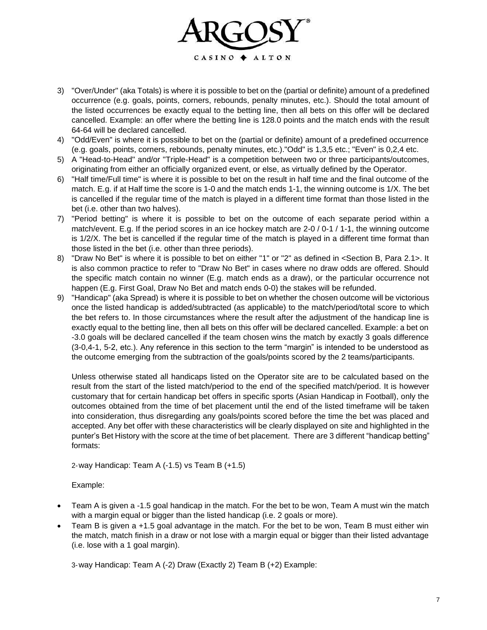

- 3) "Over/Under" (aka Totals) is where it is possible to bet on the (partial or definite) amount of a predefined occurrence (e.g. goals, points, corners, rebounds, penalty minutes, etc.). Should the total amount of the listed occurrences be exactly equal to the betting line, then all bets on this offer will be declared cancelled. Example: an offer where the betting line is 128.0 points and the match ends with the result 64-64 will be declared cancelled.
- 4) "Odd/Even" is where it is possible to bet on the (partial or definite) amount of a predefined occurrence (e.g. goals, points, corners, rebounds, penalty minutes, etc.)."Odd" is 1,3,5 etc.; "Even" is 0,2,4 etc.
- 5) A "Head-to-Head" and/or "Triple-Head" is a competition between two or three participants/outcomes, originating from either an officially organized event, or else, as virtually defined by the Operator.
- 6) "Half time/Full time" is where it is possible to bet on the result in half time and the final outcome of the match. E.g. if at Half time the score is 1-0 and the match ends 1-1, the winning outcome is 1/X. The bet is cancelled if the regular time of the match is played in a different time format than those listed in the bet (i.e. other than two halves).
- 7) "Period betting" is where it is possible to bet on the outcome of each separate period within a match/event. E.g. If the period scores in an ice hockey match are 2-0 / 0-1 / 1-1, the winning outcome is 1/2/X. The bet is cancelled if the regular time of the match is played in a different time format than those listed in the bet (i.e. other than three periods).
- 8) "Draw No Bet" is where it is possible to bet on either "1" or "2" as defined in <Section B, Para 2.1>. It is also common practice to refer to "Draw No Bet" in cases where no draw odds are offered. Should the specific match contain no winner (E.g. match ends as a draw), or the particular occurrence not happen (E.g. First Goal, Draw No Bet and match ends 0-0) the stakes will be refunded.
- 9) "Handicap" (aka Spread) is where it is possible to bet on whether the chosen outcome will be victorious once the listed handicap is added/subtracted (as applicable) to the match/period/total score to which the bet refers to. In those circumstances where the result after the adjustment of the handicap line is exactly equal to the betting line, then all bets on this offer will be declared cancelled. Example: a bet on -3.0 goals will be declared cancelled if the team chosen wins the match by exactly 3 goals difference (3-0,4-1, 5-2, etc.). Any reference in this section to the term "margin" is intended to be understood as the outcome emerging from the subtraction of the goals/points scored by the 2 teams/participants.

Unless otherwise stated all handicaps listed on the Operator site are to be calculated based on the result from the start of the listed match/period to the end of the specified match/period. It is however customary that for certain handicap bet offers in specific sports (Asian Handicap in Football), only the outcomes obtained from the time of bet placement until the end of the listed timeframe will be taken into consideration, thus disregarding any goals/points scored before the time the bet was placed and accepted. Any bet offer with these characteristics will be clearly displayed on site and highlighted in the punter's Bet History with the score at the time of bet placement. There are 3 different "handicap betting" formats:

2-way Handicap: Team A (-1.5) vs Team B (+1.5)

Example:

- Team A is given a -1.5 goal handicap in the match. For the bet to be won, Team A must win the match with a margin equal or bigger than the listed handicap (i.e. 2 goals or more).
- Team B is given a +1.5 goal advantage in the match. For the bet to be won, Team B must either win the match, match finish in a draw or not lose with a margin equal or bigger than their listed advantage (i.e. lose with a 1 goal margin).

3-way Handicap: Team A (-2) Draw (Exactly 2) Team B (+2) Example: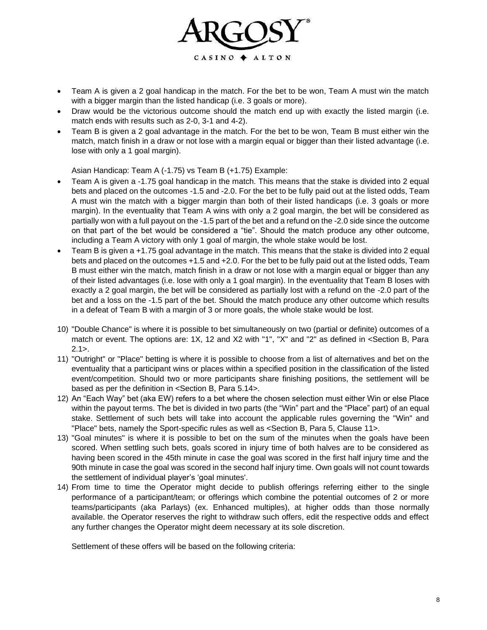

- Team A is given a 2 goal handicap in the match. For the bet to be won, Team A must win the match with a bigger margin than the listed handicap (i.e. 3 goals or more).
- Draw would be the victorious outcome should the match end up with exactly the listed margin (i.e. match ends with results such as 2-0, 3-1 and 4-2).
- Team B is given a 2 goal advantage in the match. For the bet to be won, Team B must either win the match, match finish in a draw or not lose with a margin equal or bigger than their listed advantage (i.e. lose with only a 1 goal margin).

Asian Handicap: Team A (-1.75) vs Team B (+1.75) Example:

- Team A is given a -1.75 goal handicap in the match. This means that the stake is divided into 2 equal bets and placed on the outcomes -1.5 and -2.0. For the bet to be fully paid out at the listed odds, Team A must win the match with a bigger margin than both of their listed handicaps (i.e. 3 goals or more margin). In the eventuality that Team A wins with only a 2 goal margin, the bet will be considered as partially won with a full payout on the -1.5 part of the bet and a refund on the -2.0 side since the outcome on that part of the bet would be considered a "tie". Should the match produce any other outcome, including a Team A victory with only 1 goal of margin, the whole stake would be lost.
- Team B is given a +1.75 goal advantage in the match. This means that the stake is divided into 2 equal bets and placed on the outcomes +1.5 and +2.0. For the bet to be fully paid out at the listed odds, Team B must either win the match, match finish in a draw or not lose with a margin equal or bigger than any of their listed advantages (i.e. lose with only a 1 goal margin). In the eventuality that Team B loses with exactly a 2 goal margin, the bet will be considered as partially lost with a refund on the -2.0 part of the bet and a loss on the -1.5 part of the bet. Should the match produce any other outcome which results in a defeat of Team B with a margin of 3 or more goals, the whole stake would be lost.
- 10) "Double Chance" is where it is possible to bet simultaneously on two (partial or definite) outcomes of a match or event. The options are: 1X, 12 and X2 with "1", "X" and "2" as defined in <Section B, Para  $2.1$
- 11) "Outright" or "Place" betting is where it is possible to choose from a list of alternatives and bet on the eventuality that a participant wins or places within a specified position in the classification of the listed event/competition. Should two or more participants share finishing positions, the settlement will be based as per the definition in <Section B, Para 5.14>.
- 12) An "Each Way" bet (aka EW) refers to a bet where the chosen selection must either Win or else Place within the payout terms. The bet is divided in two parts (the "Win" part and the "Place" part) of an equal stake. Settlement of such bets will take into account the applicable rules governing the "Win" and "Place" bets, namely the Sport-specific rules as well as <Section B, Para 5, Clause 11>.
- 13) "Goal minutes" is where it is possible to bet on the sum of the minutes when the goals have been scored. When settling such bets, goals scored in injury time of both halves are to be considered as having been scored in the 45th minute in case the goal was scored in the first half injury time and the 90th minute in case the goal was scored in the second half injury time. Own goals will not count towards the settlement of individual player's 'goal minutes'.
- 14) From time to time the Operator might decide to publish offerings referring either to the single performance of a participant/team; or offerings which combine the potential outcomes of 2 or more teams/participants (aka Parlays) (ex. Enhanced multiples), at higher odds than those normally available. the Operator reserves the right to withdraw such offers, edit the respective odds and effect any further changes the Operator might deem necessary at its sole discretion.

Settlement of these offers will be based on the following criteria: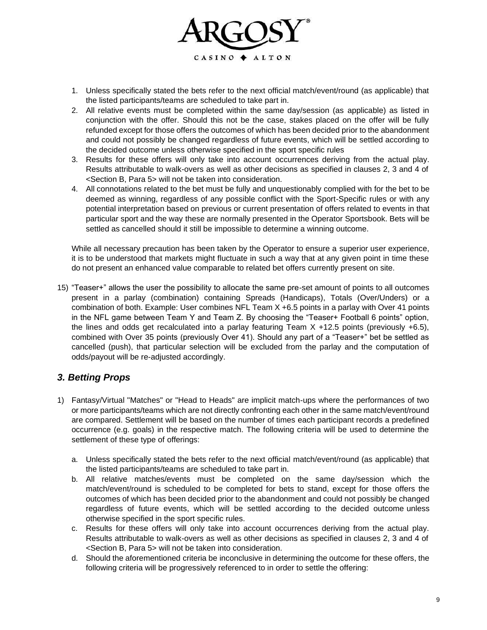

- 1. Unless specifically stated the bets refer to the next official match/event/round (as applicable) that the listed participants/teams are scheduled to take part in.
- 2. All relative events must be completed within the same day/session (as applicable) as listed in conjunction with the offer. Should this not be the case, stakes placed on the offer will be fully refunded except for those offers the outcomes of which has been decided prior to the abandonment and could not possibly be changed regardless of future events, which will be settled according to the decided outcome unless otherwise specified in the sport specific rules
- 3. Results for these offers will only take into account occurrences deriving from the actual play. Results attributable to walk-overs as well as other decisions as specified in clauses 2, 3 and 4 of <Section B, Para 5> will not be taken into consideration.
- 4. All connotations related to the bet must be fully and unquestionably complied with for the bet to be deemed as winning, regardless of any possible conflict with the Sport-Specific rules or with any potential interpretation based on previous or current presentation of offers related to events in that particular sport and the way these are normally presented in the Operator Sportsbook. Bets will be settled as cancelled should it still be impossible to determine a winning outcome.

While all necessary precaution has been taken by the Operator to ensure a superior user experience, it is to be understood that markets might fluctuate in such a way that at any given point in time these do not present an enhanced value comparable to related bet offers currently present on site.

15) "Teaser+" allows the user the possibility to allocate the same pre-set amount of points to all outcomes present in a parlay (combination) containing Spreads (Handicaps), Totals (Over/Unders) or a combination of both. Example: User combines NFL Team X +6.5 points in a parlay with Over 41 points in the NFL game between Team Y and Team Z. By choosing the "Teaser+ Football 6 points" option, the lines and odds get recalculated into a parlay featuring Team  $X +12.5$  points (previously  $+6.5$ ), combined with Over 35 points (previously Over 41). Should any part of a "Teaser+" bet be settled as cancelled (push), that particular selection will be excluded from the parlay and the computation of odds/payout will be re-adjusted accordingly.

# *3. Betting Props*

- 1) Fantasy/Virtual "Matches" or "Head to Heads" are implicit match-ups where the performances of two or more participants/teams which are not directly confronting each other in the same match/event/round are compared. Settlement will be based on the number of times each participant records a predefined occurrence (e.g. goals) in the respective match. The following criteria will be used to determine the settlement of these type of offerings:
	- a. Unless specifically stated the bets refer to the next official match/event/round (as applicable) that the listed participants/teams are scheduled to take part in.
	- b. All relative matches/events must be completed on the same day/session which the match/event/round is scheduled to be completed for bets to stand, except for those offers the outcomes of which has been decided prior to the abandonment and could not possibly be changed regardless of future events, which will be settled according to the decided outcome unless otherwise specified in the sport specific rules.
	- c. Results for these offers will only take into account occurrences deriving from the actual play. Results attributable to walk-overs as well as other decisions as specified in clauses 2, 3 and 4 of <Section B, Para 5> will not be taken into consideration.
	- d. Should the aforementioned criteria be inconclusive in determining the outcome for these offers, the following criteria will be progressively referenced to in order to settle the offering: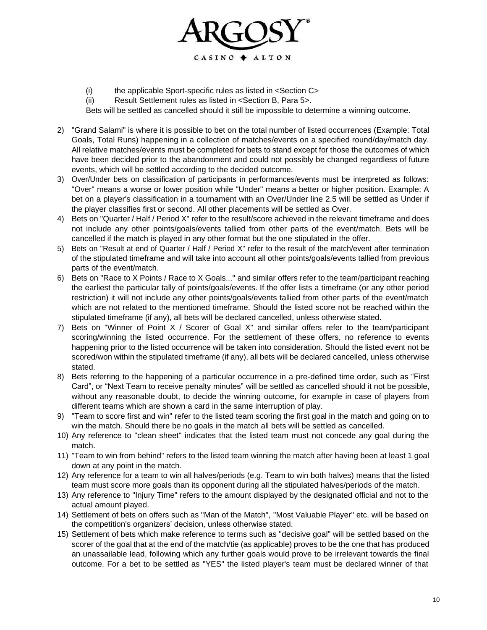

(i) the applicable Sport-specific rules as listed in <Section C>

(ii) Result Settlement rules as listed in <Section B, Para 5>.

Bets will be settled as cancelled should it still be impossible to determine a winning outcome.

- 2) "Grand Salami" is where it is possible to bet on the total number of listed occurrences (Example: Total Goals, Total Runs) happening in a collection of matches/events on a specified round/day/match day. All relative matches/events must be completed for bets to stand except for those the outcomes of which have been decided prior to the abandonment and could not possibly be changed regardless of future events, which will be settled according to the decided outcome.
- 3) Over/Under bets on classification of participants in performances/events must be interpreted as follows: "Over" means a worse or lower position while "Under" means a better or higher position. Example: A bet on a player's classification in a tournament with an Over/Under line 2.5 will be settled as Under if the player classifies first or second. All other placements will be settled as Over.
- 4) Bets on "Quarter / Half / Period X" refer to the result/score achieved in the relevant timeframe and does not include any other points/goals/events tallied from other parts of the event/match. Bets will be cancelled if the match is played in any other format but the one stipulated in the offer.
- 5) Bets on "Result at end of Quarter / Half / Period X" refer to the result of the match/event after termination of the stipulated timeframe and will take into account all other points/goals/events tallied from previous parts of the event/match.
- 6) Bets on "Race to X Points / Race to X Goals..." and similar offers refer to the team/participant reaching the earliest the particular tally of points/goals/events. If the offer lists a timeframe (or any other period restriction) it will not include any other points/goals/events tallied from other parts of the event/match which are not related to the mentioned timeframe. Should the listed score not be reached within the stipulated timeframe (if any), all bets will be declared cancelled, unless otherwise stated.
- 7) Bets on "Winner of Point X / Scorer of Goal X" and similar offers refer to the team/participant scoring/winning the listed occurrence. For the settlement of these offers, no reference to events happening prior to the listed occurrence will be taken into consideration. Should the listed event not be scored/won within the stipulated timeframe (if any), all bets will be declared cancelled, unless otherwise stated.
- 8) Bets referring to the happening of a particular occurrence in a pre-defined time order, such as "First Card", or "Next Team to receive penalty minutes" will be settled as cancelled should it not be possible, without any reasonable doubt, to decide the winning outcome, for example in case of players from different teams which are shown a card in the same interruption of play.
- 9) "Team to score first and win" refer to the listed team scoring the first goal in the match and going on to win the match. Should there be no goals in the match all bets will be settled as cancelled.
- 10) Any reference to "clean sheet" indicates that the listed team must not concede any goal during the match.
- 11) "Team to win from behind" refers to the listed team winning the match after having been at least 1 goal down at any point in the match.
- 12) Any reference for a team to win all halves/periods (e.g. Team to win both halves) means that the listed team must score more goals than its opponent during all the stipulated halves/periods of the match.
- 13) Any reference to "Injury Time" refers to the amount displayed by the designated official and not to the actual amount played.
- 14) Settlement of bets on offers such as "Man of the Match", "Most Valuable Player" etc. will be based on the competition's organizers' decision, unless otherwise stated.
- 15) Settlement of bets which make reference to terms such as "decisive goal" will be settled based on the scorer of the goal that at the end of the match/tie (as applicable) proves to be the one that has produced an unassailable lead, following which any further goals would prove to be irrelevant towards the final outcome. For a bet to be settled as "YES" the listed player's team must be declared winner of that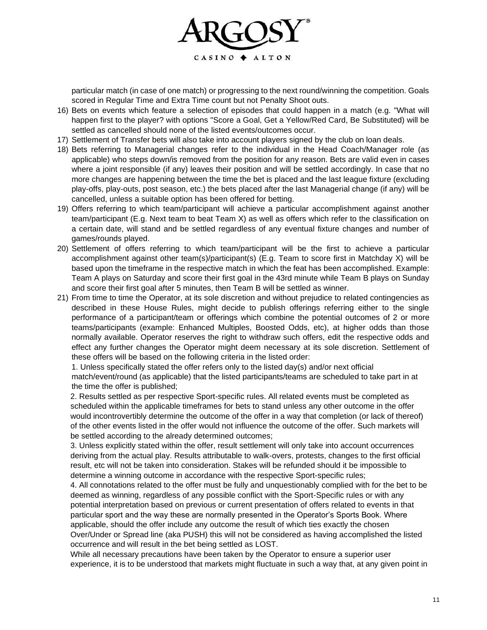

particular match (in case of one match) or progressing to the next round/winning the competition. Goals scored in Regular Time and Extra Time count but not Penalty Shoot outs.

- 16) Bets on events which feature a selection of episodes that could happen in a match (e.g. "What will happen first to the player? with options "Score a Goal, Get a Yellow/Red Card, Be Substituted) will be settled as cancelled should none of the listed events/outcomes occur.
- 17) Settlement of Transfer bets will also take into account players signed by the club on loan deals.
- 18) Bets referring to Managerial changes refer to the individual in the Head Coach/Manager role (as applicable) who steps down/is removed from the position for any reason. Bets are valid even in cases where a joint responsible (if any) leaves their position and will be settled accordingly. In case that no more changes are happening between the time the bet is placed and the last league fixture (excluding play-offs, play-outs, post season, etc.) the bets placed after the last Managerial change (if any) will be cancelled, unless a suitable option has been offered for betting.
- 19) Offers referring to which team/participant will achieve a particular accomplishment against another team/participant (E.g. Next team to beat Team X) as well as offers which refer to the classification on a certain date, will stand and be settled regardless of any eventual fixture changes and number of games/rounds played.
- 20) Settlement of offers referring to which team/participant will be the first to achieve a particular accomplishment against other team(s)/participant(s) (E.g. Team to score first in Matchday X) will be based upon the timeframe in the respective match in which the feat has been accomplished. Example: Team A plays on Saturday and score their first goal in the 43rd minute while Team B plays on Sunday and score their first goal after 5 minutes, then Team B will be settled as winner.
- 21) From time to time the Operator, at its sole discretion and without prejudice to related contingencies as described in these House Rules, might decide to publish offerings referring either to the single performance of a participant/team or offerings which combine the potential outcomes of 2 or more teams/participants (example: Enhanced Multiples, Boosted Odds, etc), at higher odds than those normally available. Operator reserves the right to withdraw such offers, edit the respective odds and effect any further changes the Operator might deem necessary at its sole discretion. Settlement of these offers will be based on the following criteria in the listed order:

1. Unless specifically stated the offer refers only to the listed day(s) and/or next official match/event/round (as applicable) that the listed participants/teams are scheduled to take part in at the time the offer is published;

2. Results settled as per respective Sport-specific rules. All related events must be completed as scheduled within the applicable timeframes for bets to stand unless any other outcome in the offer would incontrovertibly determine the outcome of the offer in a way that completion (or lack of thereof) of the other events listed in the offer would not influence the outcome of the offer. Such markets will be settled according to the already determined outcomes;

3. Unless explicitly stated within the offer, result settlement will only take into account occurrences deriving from the actual play. Results attributable to walk-overs, protests, changes to the first official result, etc will not be taken into consideration. Stakes will be refunded should it be impossible to determine a winning outcome in accordance with the respective Sport-specific rules;

4. All connotations related to the offer must be fully and unquestionably complied with for the bet to be deemed as winning, regardless of any possible conflict with the Sport-Specific rules or with any potential interpretation based on previous or current presentation of offers related to events in that particular sport and the way these are normally presented in the Operator's Sports Book. Where applicable, should the offer include any outcome the result of which ties exactly the chosen Over/Under or Spread line (aka PUSH) this will not be considered as having accomplished the listed occurrence and will result in the bet being settled as LOST.

While all necessary precautions have been taken by the Operator to ensure a superior user experience, it is to be understood that markets might fluctuate in such a way that, at any given point in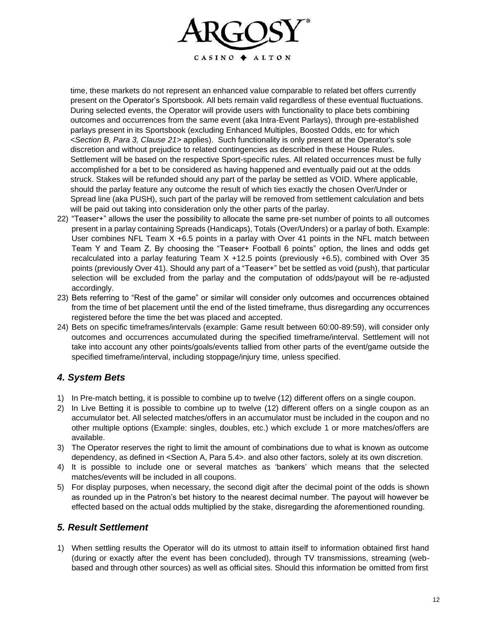

time, these markets do not represent an enhanced value comparable to related bet offers currently present on the Operator's Sportsbook. All bets remain valid regardless of these eventual fluctuations. During selected events, the Operator will provide users with functionality to place bets combining outcomes and occurrences from the same event (aka Intra-Event Parlays), through pre-established parlays present in its Sportsbook (excluding Enhanced Multiples, Boosted Odds, etc for which <*Section B, Para 3, Clause 21>* applies). Such functionality is only present at the Operator's sole discretion and without prejudice to related contingencies as described in these House Rules. Settlement will be based on the respective Sport-specific rules. All related occurrences must be fully accomplished for a bet to be considered as having happened and eventually paid out at the odds struck. Stakes will be refunded should any part of the parlay be settled as VOID. Where applicable, should the parlay feature any outcome the result of which ties exactly the chosen Over/Under or Spread line (aka PUSH), such part of the parlay will be removed from settlement calculation and bets will be paid out taking into consideration only the other parts of the parlay.

- 22) "Teaser+" allows the user the possibility to allocate the same pre-set number of points to all outcomes present in a parlay containing Spreads (Handicaps), Totals (Over/Unders) or a parlay of both. Example: User combines NFL Team X +6.5 points in a parlay with Over 41 points in the NFL match between Team Y and Team Z. By choosing the "Teaser+ Football 6 points" option, the lines and odds get recalculated into a parlay featuring Team  $X +12.5$  points (previously  $+6.5$ ), combined with Over 35 points (previously Over 41). Should any part of a "Teaser+" bet be settled as void (push), that particular selection will be excluded from the parlay and the computation of odds/payout will be re-adjusted accordingly.
- 23) Bets referring to "Rest of the game" or similar will consider only outcomes and occurrences obtained from the time of bet placement until the end of the listed timeframe, thus disregarding any occurrences registered before the time the bet was placed and accepted.
- 24) Bets on specific timeframes/intervals (example: Game result between 60:00-89:59), will consider only outcomes and occurrences accumulated during the specified timeframe/interval. Settlement will not take into account any other points/goals/events tallied from other parts of the event/game outside the specified timeframe/interval, including stoppage/injury time, unless specified.

#### *4. System Bets*

- 1) In Pre-match betting, it is possible to combine up to twelve (12) different offers on a single coupon.
- 2) In Live Betting it is possible to combine up to twelve (12) different offers on a single coupon as an accumulator bet. All selected matches/offers in an accumulator must be included in the coupon and no other multiple options (Example: singles, doubles, etc.) which exclude 1 or more matches/offers are available.
- 3) The Operator reserves the right to limit the amount of combinations due to what is known as outcome dependency, as defined in <Section A, Para 5.4>. and also other factors, solely at its own discretion.
- 4) It is possible to include one or several matches as 'bankers' which means that the selected matches/events will be included in all coupons.
- 5) For display purposes, when necessary, the second digit after the decimal point of the odds is shown as rounded up in the Patron's bet history to the nearest decimal number. The payout will however be effected based on the actual odds multiplied by the stake, disregarding the aforementioned rounding.

#### *5. Result Settlement*

1) When settling results the Operator will do its utmost to attain itself to information obtained first hand (during or exactly after the event has been concluded), through TV transmissions, streaming (webbased and through other sources) as well as official sites. Should this information be omitted from first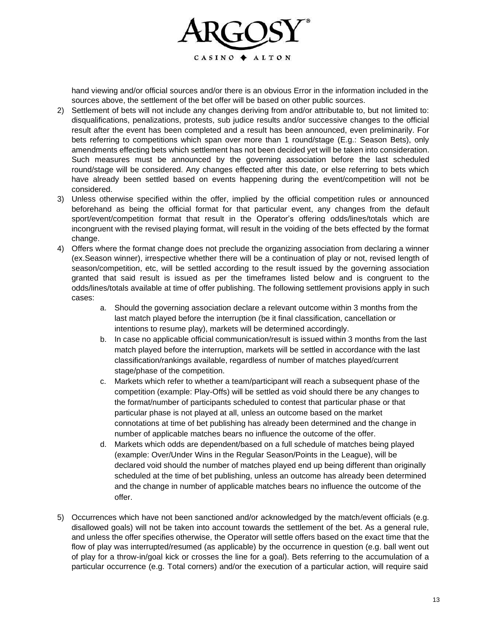

hand viewing and/or official sources and/or there is an obvious Error in the information included in the sources above, the settlement of the bet offer will be based on other public sources.

- 2) Settlement of bets will not include any changes deriving from and/or attributable to, but not limited to: disqualifications, penalizations, protests, sub judice results and/or successive changes to the official result after the event has been completed and a result has been announced, even preliminarily. For bets referring to competitions which span over more than 1 round/stage (E.g.: Season Bets), only amendments effecting bets which settlement has not been decided yet will be taken into consideration. Such measures must be announced by the governing association before the last scheduled round/stage will be considered. Any changes effected after this date, or else referring to bets which have already been settled based on events happening during the event/competition will not be considered.
- 3) Unless otherwise specified within the offer, implied by the official competition rules or announced beforehand as being the official format for that particular event, any changes from the default sport/event/competition format that result in the Operator's offering odds/lines/totals which are incongruent with the revised playing format, will result in the voiding of the bets effected by the format change.
- 4) Offers where the format change does not preclude the organizing association from declaring a winner (ex.Season winner), irrespective whether there will be a continuation of play or not, revised length of season/competition, etc, will be settled according to the result issued by the governing association granted that said result is issued as per the timeframes listed below and is congruent to the odds/lines/totals available at time of offer publishing. The following settlement provisions apply in such cases:
	- a. Should the governing association declare a relevant outcome within 3 months from the last match played before the interruption (be it final classification, cancellation or intentions to resume play), markets will be determined accordingly.
	- b. In case no applicable official communication/result is issued within 3 months from the last match played before the interruption, markets will be settled in accordance with the last classification/rankings available, regardless of number of matches played/current stage/phase of the competition.
	- c. Markets which refer to whether a team/participant will reach a subsequent phase of the competition (example: Play-Offs) will be settled as void should there be any changes to the format/number of participants scheduled to contest that particular phase or that particular phase is not played at all, unless an outcome based on the market connotations at time of bet publishing has already been determined and the change in number of applicable matches bears no influence the outcome of the offer.
	- d. Markets which odds are dependent/based on a full schedule of matches being played (example: Over/Under Wins in the Regular Season/Points in the League), will be declared void should the number of matches played end up being different than originally scheduled at the time of bet publishing, unless an outcome has already been determined and the change in number of applicable matches bears no influence the outcome of the offer.
- 5) Occurrences which have not been sanctioned and/or acknowledged by the match/event officials (e.g. disallowed goals) will not be taken into account towards the settlement of the bet. As a general rule, and unless the offer specifies otherwise, the Operator will settle offers based on the exact time that the flow of play was interrupted/resumed (as applicable) by the occurrence in question (e.g. ball went out of play for a throw-in/goal kick or crosses the line for a goal). Bets referring to the accumulation of a particular occurrence (e.g. Total corners) and/or the execution of a particular action, will require said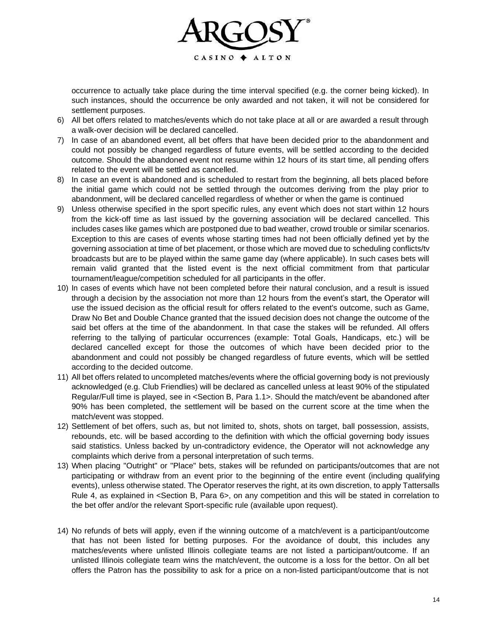

occurrence to actually take place during the time interval specified (e.g. the corner being kicked). In such instances, should the occurrence be only awarded and not taken, it will not be considered for settlement purposes.

- 6) All bet offers related to matches/events which do not take place at all or are awarded a result through a walk-over decision will be declared cancelled.
- 7) In case of an abandoned event, all bet offers that have been decided prior to the abandonment and could not possibly be changed regardless of future events, will be settled according to the decided outcome. Should the abandoned event not resume within 12 hours of its start time, all pending offers related to the event will be settled as cancelled.
- 8) In case an event is abandoned and is scheduled to restart from the beginning, all bets placed before the initial game which could not be settled through the outcomes deriving from the play prior to abandonment, will be declared cancelled regardless of whether or when the game is continued
- 9) Unless otherwise specified in the sport specific rules, any event which does not start within 12 hours from the kick-off time as last issued by the governing association will be declared cancelled. This includes cases like games which are postponed due to bad weather, crowd trouble or similar scenarios. Exception to this are cases of events whose starting times had not been officially defined yet by the governing association at time of bet placement, or those which are moved due to scheduling conflicts/tv broadcasts but are to be played within the same game day (where applicable). In such cases bets will remain valid granted that the listed event is the next official commitment from that particular tournament/league/competition scheduled for all participants in the offer.
- 10) In cases of events which have not been completed before their natural conclusion, and a result is issued through a decision by the association not more than 12 hours from the event's start, the Operator will use the issued decision as the official result for offers related to the event's outcome, such as Game, Draw No Bet and Double Chance granted that the issued decision does not change the outcome of the said bet offers at the time of the abandonment. In that case the stakes will be refunded. All offers referring to the tallying of particular occurrences (example: Total Goals, Handicaps, etc.) will be declared cancelled except for those the outcomes of which have been decided prior to the abandonment and could not possibly be changed regardless of future events, which will be settled according to the decided outcome.
- 11) All bet offers related to uncompleted matches/events where the official governing body is not previously acknowledged (e.g. Club Friendlies) will be declared as cancelled unless at least 90% of the stipulated Regular/Full time is played, see in <Section B, Para 1.1>. Should the match/event be abandoned after 90% has been completed, the settlement will be based on the current score at the time when the match/event was stopped.
- 12) Settlement of bet offers, such as, but not limited to, shots, shots on target, ball possession, assists, rebounds, etc. will be based according to the definition with which the official governing body issues said statistics. Unless backed by un-contradictory evidence, the Operator will not acknowledge any complaints which derive from a personal interpretation of such terms.
- 13) When placing "Outright" or "Place" bets, stakes will be refunded on participants/outcomes that are not participating or withdraw from an event prior to the beginning of the entire event (including qualifying events), unless otherwise stated. The Operator reserves the right, at its own discretion, to apply Tattersalls Rule 4, as explained in <Section B, Para 6>, on any competition and this will be stated in correlation to the bet offer and/or the relevant Sport-specific rule (available upon request).
- 14) No refunds of bets will apply, even if the winning outcome of a match/event is a participant/outcome that has not been listed for betting purposes. For the avoidance of doubt, this includes any matches/events where unlisted Illinois collegiate teams are not listed a participant/outcome. If an unlisted Illinois collegiate team wins the match/event, the outcome is a loss for the bettor. On all bet offers the Patron has the possibility to ask for a price on a non-listed participant/outcome that is not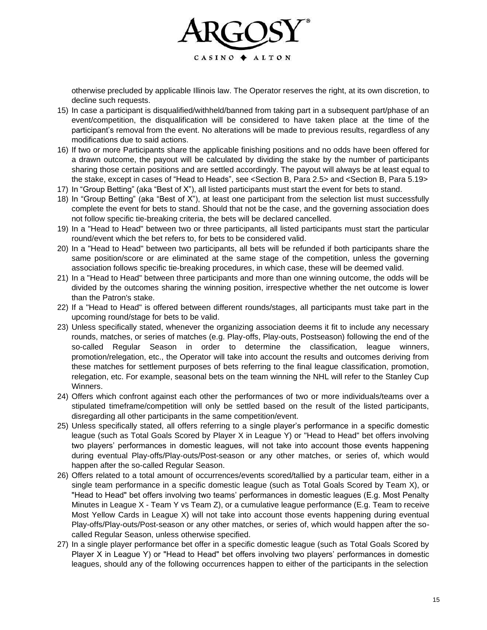

otherwise precluded by applicable Illinois law. The Operator reserves the right, at its own discretion, to decline such requests.

- 15) In case a participant is disqualified/withheld/banned from taking part in a subsequent part/phase of an event/competition, the disqualification will be considered to have taken place at the time of the participant's removal from the event. No alterations will be made to previous results, regardless of any modifications due to said actions.
- 16) If two or more Participants share the applicable finishing positions and no odds have been offered for a drawn outcome, the payout will be calculated by dividing the stake by the number of participants sharing those certain positions and are settled accordingly. The payout will always be at least equal to the stake, except in cases of "Head to Heads", see <Section B, Para 2.5> and <Section B, Para 5.19>
- 17) In "Group Betting" (aka "Best of X"), all listed participants must start the event for bets to stand.
- 18) In "Group Betting" (aka "Best of X"), at least one participant from the selection list must successfully complete the event for bets to stand. Should that not be the case, and the governing association does not follow specific tie-breaking criteria, the bets will be declared cancelled.
- 19) In a "Head to Head" between two or three participants, all listed participants must start the particular round/event which the bet refers to, for bets to be considered valid.
- 20) In a "Head to Head" between two participants, all bets will be refunded if both participants share the same position/score or are eliminated at the same stage of the competition, unless the governing association follows specific tie-breaking procedures, in which case, these will be deemed valid.
- 21) In a "Head to Head" between three participants and more than one winning outcome, the odds will be divided by the outcomes sharing the winning position, irrespective whether the net outcome is lower than the Patron's stake.
- 22) If a "Head to Head" is offered between different rounds/stages, all participants must take part in the upcoming round/stage for bets to be valid.
- 23) Unless specifically stated, whenever the organizing association deems it fit to include any necessary rounds, matches, or series of matches (e.g. Play-offs, Play-outs, Postseason) following the end of the so-called Regular Season in order to determine the classification, league winners, promotion/relegation, etc., the Operator will take into account the results and outcomes deriving from these matches for settlement purposes of bets referring to the final league classification, promotion, relegation, etc. For example, seasonal bets on the team winning the NHL will refer to the Stanley Cup Winners.
- 24) Offers which confront against each other the performances of two or more individuals/teams over a stipulated timeframe/competition will only be settled based on the result of the listed participants, disregarding all other participants in the same competition/event.
- 25) Unless specifically stated, all offers referring to a single player's performance in a specific domestic league (such as Total Goals Scored by Player X in League Y) or "Head to Head" bet offers involving two players' performances in domestic leagues, will not take into account those events happening during eventual Play-offs/Play-outs/Post-season or any other matches, or series of, which would happen after the so-called Regular Season.
- 26) Offers related to a total amount of occurrences/events scored/tallied by a particular team, either in a single team performance in a specific domestic league (such as Total Goals Scored by Team X), or "Head to Head" bet offers involving two teams' performances in domestic leagues (E.g. Most Penalty Minutes in League X - Team Y vs Team Z), or a cumulative league performance (E.g. Team to receive Most Yellow Cards in League X) will not take into account those events happening during eventual Play-offs/Play-outs/Post-season or any other matches, or series of, which would happen after the socalled Regular Season, unless otherwise specified.
- 27) In a single player performance bet offer in a specific domestic league (such as Total Goals Scored by Player X in League Y) or "Head to Head" bet offers involving two players' performances in domestic leagues, should any of the following occurrences happen to either of the participants in the selection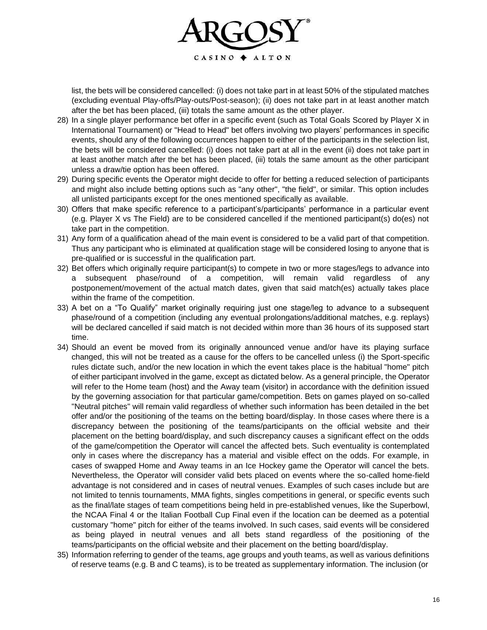

list, the bets will be considered cancelled: (i) does not take part in at least 50% of the stipulated matches (excluding eventual Play-offs/Play-outs/Post-season); (ii) does not take part in at least another match after the bet has been placed, (iii) totals the same amount as the other player.

- 28) In a single player performance bet offer in a specific event (such as Total Goals Scored by Player X in International Tournament) or "Head to Head" bet offers involving two players' performances in specific events, should any of the following occurrences happen to either of the participants in the selection list, the bets will be considered cancelled: (i) does not take part at all in the event (ii) does not take part in at least another match after the bet has been placed, (iii) totals the same amount as the other participant unless a draw/tie option has been offered.
- 29) During specific events the Operator might decide to offer for betting a reduced selection of participants and might also include betting options such as "any other", "the field", or similar. This option includes all unlisted participants except for the ones mentioned specifically as available.
- 30) Offers that make specific reference to a participant's/participants' performance in a particular event (e.g. Player X vs The Field) are to be considered cancelled if the mentioned participant(s) do(es) not take part in the competition.
- 31) Any form of a qualification ahead of the main event is considered to be a valid part of that competition. Thus any participant who is eliminated at qualification stage will be considered losing to anyone that is pre-qualified or is successful in the qualification part.
- 32) Bet offers which originally require participant(s) to compete in two or more stages/legs to advance into a subsequent phase/round of a competition, will remain valid regardless of any postponement/movement of the actual match dates, given that said match(es) actually takes place within the frame of the competition.
- 33) A bet on a "To Qualify" market originally requiring just one stage/leg to advance to a subsequent phase/round of a competition (including any eventual prolongations/additional matches, e.g. replays) will be declared cancelled if said match is not decided within more than 36 hours of its supposed start time.
- 34) Should an event be moved from its originally announced venue and/or have its playing surface changed, this will not be treated as a cause for the offers to be cancelled unless (i) the Sport-specific rules dictate such, and/or the new location in which the event takes place is the habitual "home" pitch of either participant involved in the game, except as dictated below. As a general principle, the Operator will refer to the Home team (host) and the Away team (visitor) in accordance with the definition issued by the governing association for that particular game/competition. Bets on games played on so-called "Neutral pitches" will remain valid regardless of whether such information has been detailed in the bet offer and/or the positioning of the teams on the betting board/display. In those cases where there is a discrepancy between the positioning of the teams/participants on the official website and their placement on the betting board/display, and such discrepancy causes a significant effect on the odds of the game/competition the Operator will cancel the affected bets. Such eventuality is contemplated only in cases where the discrepancy has a material and visible effect on the odds. For example, in cases of swapped Home and Away teams in an Ice Hockey game the Operator will cancel the bets. Nevertheless, the Operator will consider valid bets placed on events where the so-called home-field advantage is not considered and in cases of neutral venues. Examples of such cases include but are not limited to tennis tournaments, MMA fights, singles competitions in general, or specific events such as the final/late stages of team competitions being held in pre-established venues, like the Superbowl, the NCAA Final 4 or the Italian Football Cup Final even if the location can be deemed as a potential customary "home" pitch for either of the teams involved. In such cases, said events will be considered as being played in neutral venues and all bets stand regardless of the positioning of the teams/participants on the official website and their placement on the betting board/display.
- 35) Information referring to gender of the teams, age groups and youth teams, as well as various definitions of reserve teams (e.g. B and C teams), is to be treated as supplementary information. The inclusion (or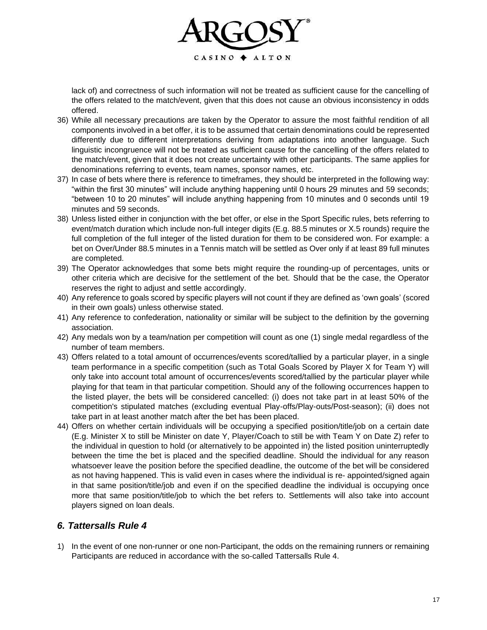

lack of) and correctness of such information will not be treated as sufficient cause for the cancelling of the offers related to the match/event, given that this does not cause an obvious inconsistency in odds offered.

- 36) While all necessary precautions are taken by the Operator to assure the most faithful rendition of all components involved in a bet offer, it is to be assumed that certain denominations could be represented differently due to different interpretations deriving from adaptations into another language. Such linguistic incongruence will not be treated as sufficient cause for the cancelling of the offers related to the match/event, given that it does not create uncertainty with other participants. The same applies for denominations referring to events, team names, sponsor names, etc.
- 37) In case of bets where there is reference to timeframes, they should be interpreted in the following way: "within the first 30 minutes" will include anything happening until 0 hours 29 minutes and 59 seconds; "between 10 to 20 minutes" will include anything happening from 10 minutes and 0 seconds until 19 minutes and 59 seconds.
- 38) Unless listed either in conjunction with the bet offer, or else in the Sport Specific rules, bets referring to event/match duration which include non-full integer digits (E.g. 88.5 minutes or X.5 rounds) require the full completion of the full integer of the listed duration for them to be considered won. For example: a bet on Over/Under 88.5 minutes in a Tennis match will be settled as Over only if at least 89 full minutes are completed.
- 39) The Operator acknowledges that some bets might require the rounding-up of percentages, units or other criteria which are decisive for the settlement of the bet. Should that be the case, the Operator reserves the right to adjust and settle accordingly.
- 40) Any reference to goals scored by specific players will not count if they are defined as 'own goals' (scored in their own goals) unless otherwise stated.
- 41) Any reference to confederation, nationality or similar will be subject to the definition by the governing association.
- 42) Any medals won by a team/nation per competition will count as one (1) single medal regardless of the number of team members.
- 43) Offers related to a total amount of occurrences/events scored/tallied by a particular player, in a single team performance in a specific competition (such as Total Goals Scored by Player X for Team Y) will only take into account total amount of occurrences/events scored/tallied by the particular player while playing for that team in that particular competition. Should any of the following occurrences happen to the listed player, the bets will be considered cancelled: (i) does not take part in at least 50% of the competition's stipulated matches (excluding eventual Play-offs/Play-outs/Post-season); (ii) does not take part in at least another match after the bet has been placed.
- 44) Offers on whether certain individuals will be occupying a specified position/title/job on a certain date (E.g. Minister X to still be Minister on date Y, Player/Coach to still be with Team Y on Date Z) refer to the individual in question to hold (or alternatively to be appointed in) the listed position uninterruptedly between the time the bet is placed and the specified deadline. Should the individual for any reason whatsoever leave the position before the specified deadline, the outcome of the bet will be considered as not having happened. This is valid even in cases where the individual is re- appointed/signed again in that same position/title/job and even if on the specified deadline the individual is occupying once more that same position/title/job to which the bet refers to. Settlements will also take into account players signed on loan deals.

#### *6. Tattersalls Rule 4*

1) In the event of one non-runner or one non-Participant, the odds on the remaining runners or remaining Participants are reduced in accordance with the so-called Tattersalls Rule 4.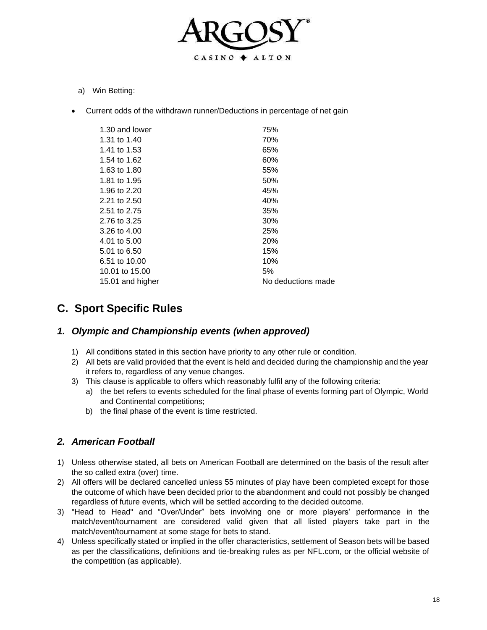

- a) Win Betting:
- Current odds of the withdrawn runner/Deductions in percentage of net gain

| 1.30 and lower   | 75%                |
|------------------|--------------------|
| 1.31 to 1.40     | 70%                |
| 1.41 to 1.53     | 65%                |
| 1.54 to 1.62     | 60%                |
| 1.63 to 1.80     | 55%                |
| 1.81 to 1.95     | 50%                |
| 1.96 to 2.20     | 45%                |
| 2.21 to 2.50     | 40%                |
| 2.51 to 2.75     | 35%                |
| 2.76 to 3.25     | 30%                |
| 3.26 to 4.00     | 25%                |
| 4.01 to 5.00     | 20%                |
| 5.01 to 6.50     | 15%                |
| 6.51 to 10.00    | 10%                |
| 10.01 to 15.00   | 5%                 |
| 15.01 and higher | No deductions made |
|                  |                    |

# **C. Sport Specific Rules**

#### *1. Olympic and Championship events (when approved)*

- 1) All conditions stated in this section have priority to any other rule or condition.
- 2) All bets are valid provided that the event is held and decided during the championship and the year it refers to, regardless of any venue changes.
- 3) This clause is applicable to offers which reasonably fulfil any of the following criteria:
	- a) the bet refers to events scheduled for the final phase of events forming part of Olympic, World and Continental competitions;
	- b) the final phase of the event is time restricted.

#### *2. American Football*

- 1) Unless otherwise stated, all bets on American Football are determined on the basis of the result after the so called extra (over) time.
- 2) All offers will be declared cancelled unless 55 minutes of play have been completed except for those the outcome of which have been decided prior to the abandonment and could not possibly be changed regardless of future events, which will be settled according to the decided outcome.
- 3) "Head to Head" and "Over/Under" bets involving one or more players' performance in the match/event/tournament are considered valid given that all listed players take part in the match/event/tournament at some stage for bets to stand.
- 4) Unless specifically stated or implied in the offer characteristics, settlement of Season bets will be based as per the classifications, definitions and tie-breaking rules as per NFL.com, or the official website of the competition (as applicable).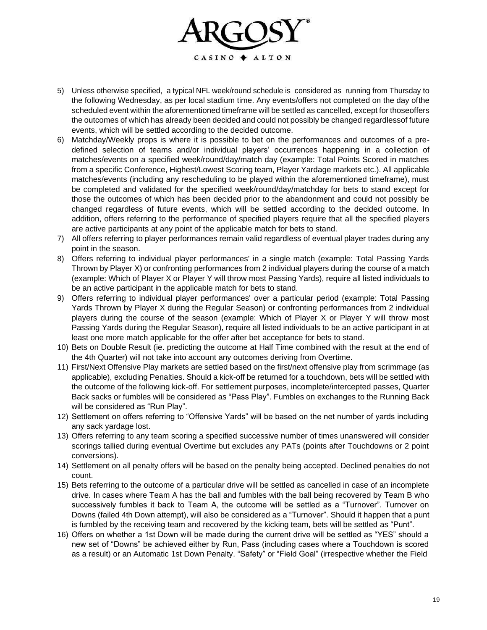

- 5) Unless otherwise specified, a typical NFL week/round schedule is considered as running from Thursday to the following Wednesday, as per local stadium time. Any events/offers not completed on the day ofthe scheduled event within the aforementioned timeframe will be settled as cancelled, except for thoseoffers the outcomes of which has already been decided and could not possibly be changed regardlessof future events, which will be settled according to the decided outcome.
- 6) Matchday/Weekly props is where it is possible to bet on the performances and outcomes of a predefined selection of teams and/or individual players' occurrences happening in a collection of matches/events on a specified week/round/day/match day (example: Total Points Scored in matches from a specific Conference, Highest/Lowest Scoring team, Player Yardage markets etc.). All applicable matches/events (including any rescheduling to be played within the aforementioned timeframe), must be completed and validated for the specified week/round/day/matchday for bets to stand except for those the outcomes of which has been decided prior to the abandonment and could not possibly be changed regardless of future events, which will be settled according to the decided outcome. In addition, offers referring to the performance of specified players require that all the specified players are active participants at any point of the applicable match for bets to stand.
- 7) All offers referring to player performances remain valid regardless of eventual player trades during any point in the season.
- 8) Offers referring to individual player performances' in a single match (example: Total Passing Yards Thrown by Player X) or confronting performances from 2 individual players during the course of a match (example: Which of Player X or Player Y will throw most Passing Yards), require all listed individuals to be an active participant in the applicable match for bets to stand.
- 9) Offers referring to individual player performances' over a particular period (example: Total Passing Yards Thrown by Player X during the Regular Season) or confronting performances from 2 individual players during the course of the season (example: Which of Player X or Player Y will throw most Passing Yards during the Regular Season), require all listed individuals to be an active participant in at least one more match applicable for the offer after bet acceptance for bets to stand.
- 10) Bets on Double Result (ie. predicting the outcome at Half Time combined with the result at the end of the 4th Quarter) will not take into account any outcomes deriving from Overtime.
- 11) First/Next Offensive Play markets are settled based on the first/next offensive play from scrimmage (as applicable), excluding Penalties. Should a kick-off be returned for a touchdown, bets will be settled with the outcome of the following kick-off. For settlement purposes, incomplete/intercepted passes, Quarter Back sacks or fumbles will be considered as "Pass Play". Fumbles on exchanges to the Running Back will be considered as "Run Play".
- 12) Settlement on offers referring to "Offensive Yards" will be based on the net number of yards including any sack yardage lost.
- 13) Offers referring to any team scoring a specified successive number of times unanswered will consider scorings tallied during eventual Overtime but excludes any PATs (points after Touchdowns or 2 point conversions).
- 14) Settlement on all penalty offers will be based on the penalty being accepted. Declined penalties do not count.
- 15) Bets referring to the outcome of a particular drive will be settled as cancelled in case of an incomplete drive. In cases where Team A has the ball and fumbles with the ball being recovered by Team B who successively fumbles it back to Team A, the outcome will be settled as a "Turnover". Turnover on Downs (failed 4th Down attempt), will also be considered as a "Turnover". Should it happen that a punt is fumbled by the receiving team and recovered by the kicking team, bets will be settled as "Punt".
- 16) Offers on whether a 1st Down will be made during the current drive will be settled as "YES" should a new set of "Downs" be achieved either by Run, Pass (including cases where a Touchdown is scored as a result) or an Automatic 1st Down Penalty. "Safety" or "Field Goal" (irrespective whether the Field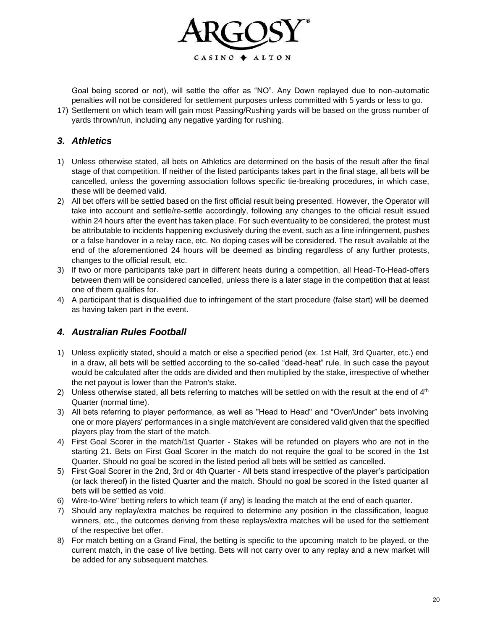

Goal being scored or not), will settle the offer as "NO". Any Down replayed due to non-automatic penalties will not be considered for settlement purposes unless committed with 5 yards or less to go.

17) Settlement on which team will gain most Passing/Rushing yards will be based on the gross number of yards thrown/run, including any negative yarding for rushing.

#### *3. Athletics*

- 1) Unless otherwise stated, all bets on Athletics are determined on the basis of the result after the final stage of that competition. If neither of the listed participants takes part in the final stage, all bets will be cancelled, unless the governing association follows specific tie-breaking procedures, in which case, these will be deemed valid.
- 2) All bet offers will be settled based on the first official result being presented. However, the Operator will take into account and settle/re-settle accordingly, following any changes to the official result issued within 24 hours after the event has taken place. For such eventuality to be considered, the protest must be attributable to incidents happening exclusively during the event, such as a line infringement, pushes or a false handover in a relay race, etc. No doping cases will be considered. The result available at the end of the aforementioned 24 hours will be deemed as binding regardless of any further protests, changes to the official result, etc.
- 3) If two or more participants take part in different heats during a competition, all Head-To-Head-offers between them will be considered cancelled, unless there is a later stage in the competition that at least one of them qualifies for.
- 4) A participant that is disqualified due to infringement of the start procedure (false start) will be deemed as having taken part in the event.

#### *4. Australian Rules Football*

- 1) Unless explicitly stated, should a match or else a specified period (ex. 1st Half, 3rd Quarter, etc.) end in a draw, all bets will be settled according to the so-called "dead-heat" rule. In such case the payout would be calculated after the odds are divided and then multiplied by the stake, irrespective of whether the net payout is lower than the Patron's stake.
- 2) Unless otherwise stated, all bets referring to matches will be settled on with the result at the end of  $4<sup>th</sup>$ Quarter (normal time).
- 3) All bets referring to player performance, as well as "Head to Head" and "Over/Under" bets involving one or more players' performances in a single match/event are considered valid given that the specified players play from the start of the match.
- 4) First Goal Scorer in the match/1st Quarter Stakes will be refunded on players who are not in the starting 21. Bets on First Goal Scorer in the match do not require the goal to be scored in the 1st Quarter. Should no goal be scored in the listed period all bets will be settled as cancelled.
- 5) First Goal Scorer in the 2nd, 3rd or 4th Quarter All bets stand irrespective of the player's participation (or lack thereof) in the listed Quarter and the match. Should no goal be scored in the listed quarter all bets will be settled as void.
- 6) Wire-to-Wire" betting refers to which team (if any) is leading the match at the end of each quarter.
- 7) Should any replay/extra matches be required to determine any position in the classification, league winners, etc., the outcomes deriving from these replays/extra matches will be used for the settlement of the respective bet offer.
- 8) For match betting on a Grand Final, the betting is specific to the upcoming match to be played, or the current match, in the case of live betting. Bets will not carry over to any replay and a new market will be added for any subsequent matches.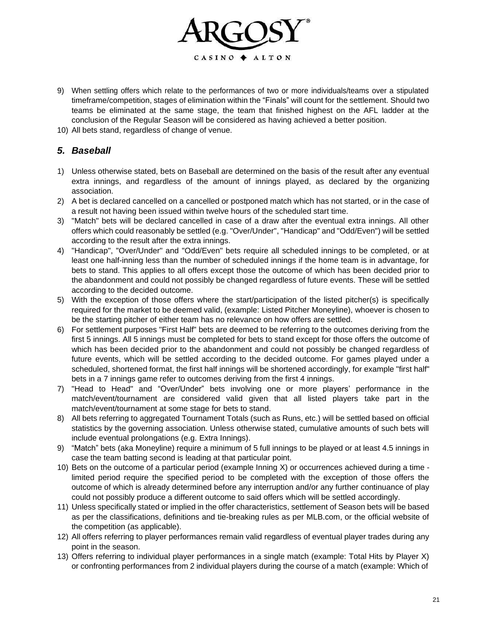

- 9) When settling offers which relate to the performances of two or more individuals/teams over a stipulated timeframe/competition, stages of elimination within the "Finals" will count for the settlement. Should two teams be eliminated at the same stage, the team that finished highest on the AFL ladder at the conclusion of the Regular Season will be considered as having achieved a better position.
- 10) All bets stand, regardless of change of venue.

# *5. Baseball*

- 1) Unless otherwise stated, bets on Baseball are determined on the basis of the result after any eventual extra innings, and regardless of the amount of innings played, as declared by the organizing association.
- 2) A bet is declared cancelled on a cancelled or postponed match which has not started, or in the case of a result not having been issued within twelve hours of the scheduled start time.
- 3) "Match" bets will be declared cancelled in case of a draw after the eventual extra innings. All other offers which could reasonably be settled (e.g. "Over/Under", "Handicap" and "Odd/Even") will be settled according to the result after the extra innings.
- 4) "Handicap", "Over/Under" and "Odd/Even" bets require all scheduled innings to be completed, or at least one half-inning less than the number of scheduled innings if the home team is in advantage, for bets to stand. This applies to all offers except those the outcome of which has been decided prior to the abandonment and could not possibly be changed regardless of future events. These will be settled according to the decided outcome.
- 5) With the exception of those offers where the start/participation of the listed pitcher(s) is specifically required for the market to be deemed valid, (example: Listed Pitcher Moneyline), whoever is chosen to be the starting pitcher of either team has no relevance on how offers are settled.
- 6) For settlement purposes "First Half" bets are deemed to be referring to the outcomes deriving from the first 5 innings. All 5 innings must be completed for bets to stand except for those offers the outcome of which has been decided prior to the abandonment and could not possibly be changed regardless of future events, which will be settled according to the decided outcome. For games played under a scheduled, shortened format, the first half innings will be shortened accordingly, for example "first half" bets in a 7 innings game refer to outcomes deriving from the first 4 innings.
- 7) "Head to Head" and "Over/Under" bets involving one or more players' performance in the match/event/tournament are considered valid given that all listed players take part in the match/event/tournament at some stage for bets to stand.
- 8) All bets referring to aggregated Tournament Totals (such as Runs, etc.) will be settled based on official statistics by the governing association. Unless otherwise stated, cumulative amounts of such bets will include eventual prolongations (e.g. Extra Innings).
- 9) "Match" bets (aka Moneyline) require a minimum of 5 full innings to be played or at least 4.5 innings in case the team batting second is leading at that particular point.
- 10) Bets on the outcome of a particular period (example Inning X) or occurrences achieved during a time limited period require the specified period to be completed with the exception of those offers the outcome of which is already determined before any interruption and/or any further continuance of play could not possibly produce a different outcome to said offers which will be settled accordingly.
- 11) Unless specifically stated or implied in the offer characteristics, settlement of Season bets will be based as per the classifications, definitions and tie-breaking rules as per MLB.com, or the official website of the competition (as applicable).
- 12) All offers referring to player performances remain valid regardless of eventual player trades during any point in the season.
- 13) Offers referring to individual player performances in a single match (example: Total Hits by Player X) or confronting performances from 2 individual players during the course of a match (example: Which of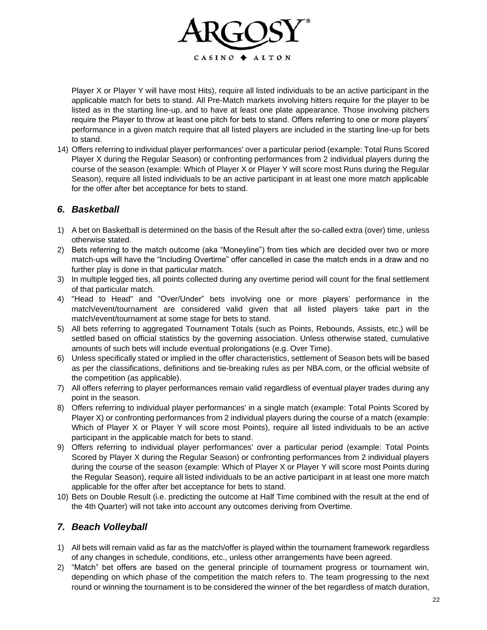

Player X or Player Y will have most Hits), require all listed individuals to be an active participant in the applicable match for bets to stand. All Pre-Match markets involving hitters require for the player to be listed as in the starting line-up, and to have at least one plate appearance. Those involving pitchers require the Player to throw at least one pitch for bets to stand. Offers referring to one or more players' performance in a given match require that all listed players are included in the starting line-up for bets to stand.

14) Offers referring to individual player performances' over a particular period (example: Total Runs Scored Player X during the Regular Season) or confronting performances from 2 individual players during the course of the season (example: Which of Player X or Player Y will score most Runs during the Regular Season), require all listed individuals to be an active participant in at least one more match applicable for the offer after bet acceptance for bets to stand.

# *6. Basketball*

- 1) A bet on Basketball is determined on the basis of the Result after the so-called extra (over) time, unless otherwise stated.
- 2) Bets referring to the match outcome (aka "Moneyline") from ties which are decided over two or more match-ups will have the "Including Overtime" offer cancelled in case the match ends in a draw and no further play is done in that particular match.
- 3) In multiple legged ties, all points collected during any overtime period will count for the final settlement of that particular match.
- 4) "Head to Head" and "Over/Under" bets involving one or more players' performance in the match/event/tournament are considered valid given that all listed players take part in the match/event/tournament at some stage for bets to stand.
- 5) All bets referring to aggregated Tournament Totals (such as Points, Rebounds, Assists, etc.) will be settled based on official statistics by the governing association. Unless otherwise stated, cumulative amounts of such bets will include eventual prolongations (e.g. Over Time).
- 6) Unless specifically stated or implied in the offer characteristics, settlement of Season bets will be based as per the classifications, definitions and tie-breaking rules as per NBA.com, or the official website of the competition (as applicable).
- 7) All offers referring to player performances remain valid regardless of eventual player trades during any point in the season.
- 8) Offers referring to individual player performances' in a single match (example: Total Points Scored by Player X) or confronting performances from 2 individual players during the course of a match (example: Which of Player X or Player Y will score most Points), require all listed individuals to be an active participant in the applicable match for bets to stand.
- 9) Offers referring to individual player performances' over a particular period (example: Total Points Scored by Player X during the Regular Season) or confronting performances from 2 individual players during the course of the season (example: Which of Player X or Player Y will score most Points during the Regular Season), require all listed individuals to be an active participant in at least one more match applicable for the offer after bet acceptance for bets to stand.
- 10) Bets on Double Result (i.e. predicting the outcome at Half Time combined with the result at the end of the 4th Quarter) will not take into account any outcomes deriving from Overtime.

#### *7. Beach Volleyball*

- 1) All bets will remain valid as far as the match/offer is played within the tournament framework regardless of any changes in schedule, conditions, etc., unless other arrangements have been agreed.
- 2) "Match" bet offers are based on the general principle of tournament progress or tournament win, depending on which phase of the competition the match refers to. The team progressing to the next round or winning the tournament is to be considered the winner of the bet regardless of match duration,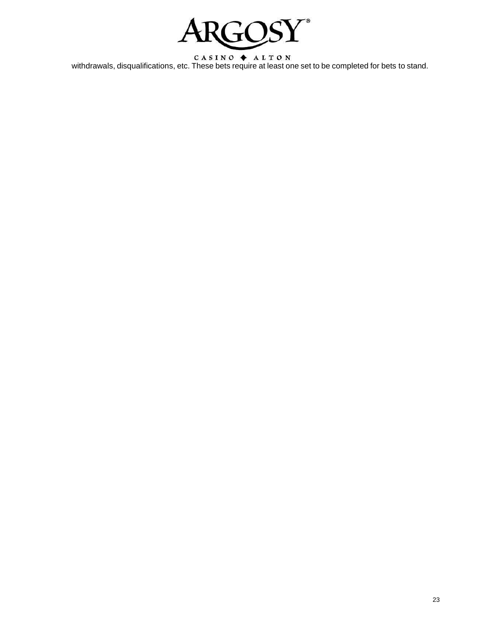

 $C A S I N O \Leftrightarrow A L T O N$ <br>withdrawals, disqualifications, etc. These bets require at least one set to be completed for bets to stand.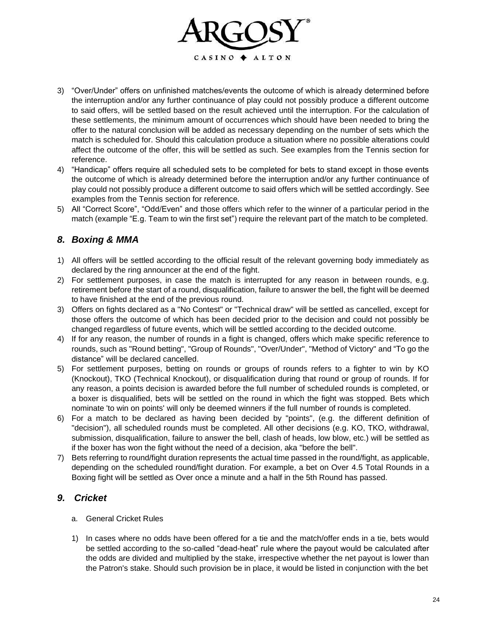

- 3) "Over/Under" offers on unfinished matches/events the outcome of which is already determined before the interruption and/or any further continuance of play could not possibly produce a different outcome to said offers, will be settled based on the result achieved until the interruption. For the calculation of these settlements, the minimum amount of occurrences which should have been needed to bring the offer to the natural conclusion will be added as necessary depending on the number of sets which the match is scheduled for. Should this calculation produce a situation where no possible alterations could affect the outcome of the offer, this will be settled as such. See examples from the Tennis section for reference.
- 4) "Handicap" offers require all scheduled sets to be completed for bets to stand except in those events the outcome of which is already determined before the interruption and/or any further continuance of play could not possibly produce a different outcome to said offers which will be settled accordingly. See examples from the Tennis section for reference.
- 5) All "Correct Score", "Odd/Even" and those offers which refer to the winner of a particular period in the match (example "E.g. Team to win the first set") require the relevant part of the match to be completed.

# *8. Boxing & MMA*

- 1) All offers will be settled according to the official result of the relevant governing body immediately as declared by the ring announcer at the end of the fight.
- 2) For settlement purposes, in case the match is interrupted for any reason in between rounds, e.g. retirement before the start of a round, disqualification, failure to answer the bell, the fight will be deemed to have finished at the end of the previous round.
- 3) Offers on fights declared as a "No Contest" or "Technical draw" will be settled as cancelled, except for those offers the outcome of which has been decided prior to the decision and could not possibly be changed regardless of future events, which will be settled according to the decided outcome.
- 4) If for any reason, the number of rounds in a fight is changed, offers which make specific reference to rounds, such as "Round betting", "Group of Rounds", "Over/Under", "Method of Victory" and "To go the distance" will be declared cancelled.
- 5) For settlement purposes, betting on rounds or groups of rounds refers to a fighter to win by KO (Knockout), TKO (Technical Knockout), or disqualification during that round or group of rounds. If for any reason, a points decision is awarded before the full number of scheduled rounds is completed, or a boxer is disqualified, bets will be settled on the round in which the fight was stopped. Bets which nominate 'to win on points' will only be deemed winners if the full number of rounds is completed.
- 6) For a match to be declared as having been decided by "points", (e.g. the different definition of "decision"), all scheduled rounds must be completed. All other decisions (e.g. KO, TKO, withdrawal, submission, disqualification, failure to answer the bell, clash of heads, low blow, etc.) will be settled as if the boxer has won the fight without the need of a decision, aka "before the bell".
- 7) Bets referring to round/fight duration represents the actual time passed in the round/fight, as applicable, depending on the scheduled round/fight duration. For example, a bet on Over 4.5 Total Rounds in a Boxing fight will be settled as Over once a minute and a half in the 5th Round has passed.

#### *9. Cricket*

- a. General Cricket Rules
- 1) In cases where no odds have been offered for a tie and the match/offer ends in a tie, bets would be settled according to the so-called "dead-heat" rule where the payout would be calculated after the odds are divided and multiplied by the stake, irrespective whether the net payout is lower than the Patron's stake. Should such provision be in place, it would be listed in conjunction with the bet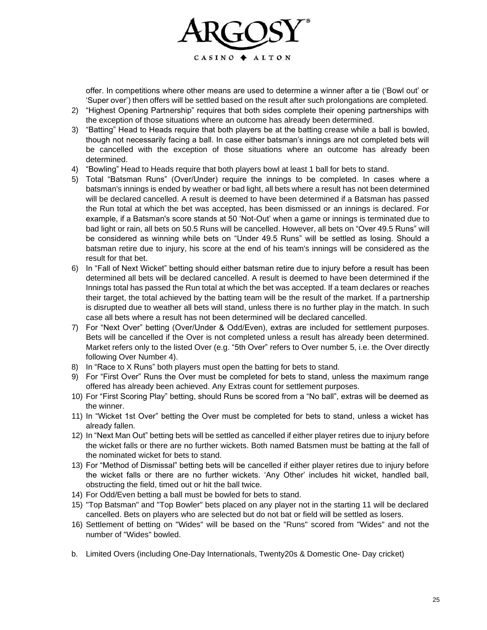

offer. In competitions where other means are used to determine a winner after a tie ('Bowl out' or 'Super over') then offers will be settled based on the result after such prolongations are completed.

- 2) "Highest Opening Partnership" requires that both sides complete their opening partnerships with the exception of those situations where an outcome has already been determined.
- 3) "Batting" Head to Heads require that both players be at the batting crease while a ball is bowled, though not necessarily facing a ball. In case either batsman's innings are not completed bets will be cancelled with the exception of those situations where an outcome has already been determined.
- 4) "Bowling" Head to Heads require that both players bowl at least 1 ball for bets to stand.
- 5) Total "Batsman Runs" (Over/Under) require the innings to be completed. In cases where a batsman's innings is ended by weather or bad light, all bets where a result has not been determined will be declared cancelled. A result is deemed to have been determined if a Batsman has passed the Run total at which the bet was accepted, has been dismissed or an innings is declared. For example, if a Batsman's score stands at 50 'Not-Out' when a game or innings is terminated due to bad light or rain, all bets on 50.5 Runs will be cancelled. However, all bets on "Over 49.5 Runs" will be considered as winning while bets on "Under 49.5 Runs" will be settled as losing. Should a batsman retire due to injury, his score at the end of his team's innings will be considered as the result for that bet.
- 6) In "Fall of Next Wicket" betting should either batsman retire due to injury before a result has been determined all bets will be declared cancelled. A result is deemed to have been determined if the Innings total has passed the Run total at which the bet was accepted. If a team declares or reaches their target, the total achieved by the batting team will be the result of the market. If a partnership is disrupted due to weather all bets will stand, unless there is no further play in the match. In such case all bets where a result has not been determined will be declared cancelled.
- 7) For "Next Over" betting (Over/Under & Odd/Even), extras are included for settlement purposes. Bets will be cancelled if the Over is not completed unless a result has already been determined. Market refers only to the listed Over (e.g. "5th Over" refers to Over number 5, i.e. the Over directly following Over Number 4).
- 8) In "Race to X Runs" both players must open the batting for bets to stand.
- 9) For "First Over" Runs the Over must be completed for bets to stand, unless the maximum range offered has already been achieved. Any Extras count for settlement purposes.
- 10) For "First Scoring Play" betting, should Runs be scored from a "No ball", extras will be deemed as the winner.
- 11) In "Wicket 1st Over" betting the Over must be completed for bets to stand, unless a wicket has already fallen.
- 12) In "Next Man Out" betting bets will be settled as cancelled if either player retires due to injury before the wicket falls or there are no further wickets. Both named Batsmen must be batting at the fall of the nominated wicket for bets to stand.
- 13) For "Method of Dismissal" betting bets will be cancelled if either player retires due to injury before the wicket falls or there are no further wickets. 'Any Other' includes hit wicket, handled ball, obstructing the field, timed out or hit the ball twice.
- 14) For Odd/Even betting a ball must be bowled for bets to stand.
- 15) "Top Batsman" and "Top Bowler" bets placed on any player not in the starting 11 will be declared cancelled. Bets on players who are selected but do not bat or field will be settled as losers.
- 16) Settlement of betting on "Wides" will be based on the "Runs" scored from "Wides" and not the number of "Wides" bowled.
- b. Limited Overs (including One-Day Internationals, Twenty20s & Domestic One- Day cricket)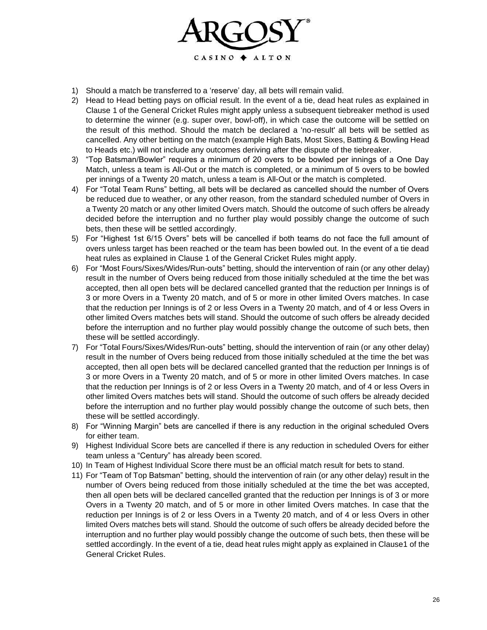

- 1) Should a match be transferred to a 'reserve' day, all bets will remain valid.
- 2) Head to Head betting pays on official result. In the event of a tie, dead heat rules as explained in Clause 1 of the General Cricket Rules might apply unless a subsequent tiebreaker method is used to determine the winner (e.g. super over, bowl-off), in which case the outcome will be settled on the result of this method. Should the match be declared a 'no-result' all bets will be settled as cancelled. Any other betting on the match (example High Bats, Most Sixes, Batting & Bowling Head to Heads etc.) will not include any outcomes deriving after the dispute of the tiebreaker.
- 3) "Top Batsman/Bowler" requires a minimum of 20 overs to be bowled per innings of a One Day Match, unless a team is All-Out or the match is completed, or a minimum of 5 overs to be bowled per innings of a Twenty 20 match, unless a team is All-Out or the match is completed.
- 4) For "Total Team Runs" betting, all bets will be declared as cancelled should the number of Overs be reduced due to weather, or any other reason, from the standard scheduled number of Overs in a Twenty 20 match or any other limited Overs match. Should the outcome of such offers be already decided before the interruption and no further play would possibly change the outcome of such bets, then these will be settled accordingly.
- 5) For "Highest 1st 6/15 Overs" bets will be cancelled if both teams do not face the full amount of overs unless target has been reached or the team has been bowled out. In the event of a tie dead heat rules as explained in Clause 1 of the General Cricket Rules might apply.
- 6) For "Most Fours/Sixes/Wides/Run-outs" betting, should the intervention of rain (or any other delay) result in the number of Overs being reduced from those initially scheduled at the time the bet was accepted, then all open bets will be declared cancelled granted that the reduction per Innings is of 3 or more Overs in a Twenty 20 match, and of 5 or more in other limited Overs matches. In case that the reduction per Innings is of 2 or less Overs in a Twenty 20 match, and of 4 or less Overs in other limited Overs matches bets will stand. Should the outcome of such offers be already decided before the interruption and no further play would possibly change the outcome of such bets, then these will be settled accordingly.
- 7) For "Total Fours/Sixes/Wides/Run-outs" betting, should the intervention of rain (or any other delay) result in the number of Overs being reduced from those initially scheduled at the time the bet was accepted, then all open bets will be declared cancelled granted that the reduction per Innings is of 3 or more Overs in a Twenty 20 match, and of 5 or more in other limited Overs matches. In case that the reduction per Innings is of 2 or less Overs in a Twenty 20 match, and of 4 or less Overs in other limited Overs matches bets will stand. Should the outcome of such offers be already decided before the interruption and no further play would possibly change the outcome of such bets, then these will be settled accordingly.
- 8) For "Winning Margin" bets are cancelled if there is any reduction in the original scheduled Overs for either team.
- 9) Highest Individual Score bets are cancelled if there is any reduction in scheduled Overs for either team unless a "Century" has already been scored.
- 10) In Team of Highest Individual Score there must be an official match result for bets to stand.
- 11) For "Team of Top Batsman" betting, should the intervention of rain (or any other delay) result in the number of Overs being reduced from those initially scheduled at the time the bet was accepted, then all open bets will be declared cancelled granted that the reduction per Innings is of 3 or more Overs in a Twenty 20 match, and of 5 or more in other limited Overs matches. In case that the reduction per Innings is of 2 or less Overs in a Twenty 20 match, and of 4 or less Overs in other limited Overs matches bets will stand. Should the outcome of such offers be already decided before the interruption and no further play would possibly change the outcome of such bets, then these will be settled accordingly. In the event of a tie, dead heat rules might apply as explained in Clause1 of the General Cricket Rules.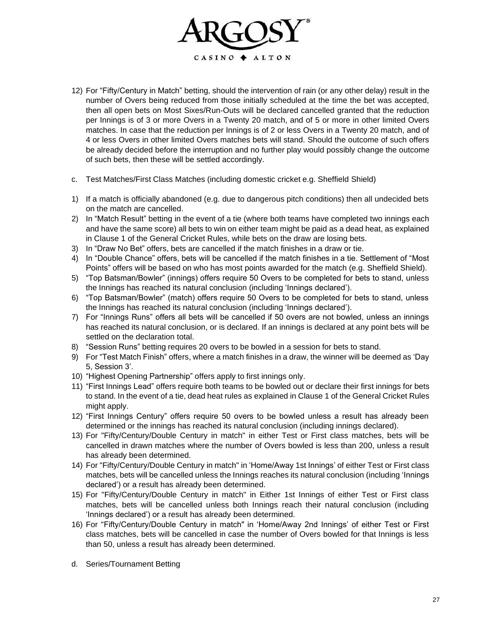

- 12) For "Fifty/Century in Match" betting, should the intervention of rain (or any other delay) result in the number of Overs being reduced from those initially scheduled at the time the bet was accepted, then all open bets on Most Sixes/Run-Outs will be declared cancelled granted that the reduction per Innings is of 3 or more Overs in a Twenty 20 match, and of 5 or more in other limited Overs matches. In case that the reduction per Innings is of 2 or less Overs in a Twenty 20 match, and of 4 or less Overs in other limited Overs matches bets will stand. Should the outcome of such offers be already decided before the interruption and no further play would possibly change the outcome of such bets, then these will be settled accordingly.
- c. Test Matches/First Class Matches (including domestic cricket e.g. Sheffield Shield)
- 1) If a match is officially abandoned (e.g. due to dangerous pitch conditions) then all undecided bets on the match are cancelled.
- 2) In "Match Result" betting in the event of a tie (where both teams have completed two innings each and have the same score) all bets to win on either team might be paid as a dead heat, as explained in Clause 1 of the General Cricket Rules, while bets on the draw are losing bets.
- 3) In "Draw No Bet" offers, bets are cancelled if the match finishes in a draw or tie.
- 4) In "Double Chance" offers, bets will be cancelled if the match finishes in a tie. Settlement of "Most Points" offers will be based on who has most points awarded for the match (e.g. Sheffield Shield).
- 5) "Top Batsman/Bowler" (innings) offers require 50 Overs to be completed for bets to stand, unless the Innings has reached its natural conclusion (including 'Innings declared').
- 6) "Top Batsman/Bowler" (match) offers require 50 Overs to be completed for bets to stand, unless the Innings has reached its natural conclusion (including 'Innings declared').
- 7) For "Innings Runs" offers all bets will be cancelled if 50 overs are not bowled, unless an innings has reached its natural conclusion, or is declared. If an innings is declared at any point bets will be settled on the declaration total.
- 8) "Session Runs" betting requires 20 overs to be bowled in a session for bets to stand.
- 9) For "Test Match Finish" offers, where a match finishes in a draw, the winner will be deemed as 'Day 5, Session 3'.
- 10) "Highest Opening Partnership" offers apply to first innings only.
- 11) "First Innings Lead" offers require both teams to be bowled out or declare their first innings for bets to stand. In the event of a tie, dead heat rules as explained in Clause 1 of the General Cricket Rules might apply.
- 12) "First Innings Century" offers require 50 overs to be bowled unless a result has already been determined or the innings has reached its natural conclusion (including innings declared).
- 13) For "Fifty/Century/Double Century in match" in either Test or First class matches, bets will be cancelled in drawn matches where the number of Overs bowled is less than 200, unless a result has already been determined.
- 14) For "Fifty/Century/Double Century in match" in 'Home/Away 1st Innings' of either Test or First class matches, bets will be cancelled unless the Innings reaches its natural conclusion (including 'Innings declared') or a result has already been determined.
- 15) For "Fifty/Century/Double Century in match" in Either 1st Innings of either Test or First class matches, bets will be cancelled unless both Innings reach their natural conclusion (including 'Innings declared') or a result has already been determined.
- 16) For "Fifty/Century/Double Century in match" in 'Home/Away 2nd Innings' of either Test or First class matches, bets will be cancelled in case the number of Overs bowled for that Innings is less than 50, unless a result has already been determined.
- d. Series/Tournament Betting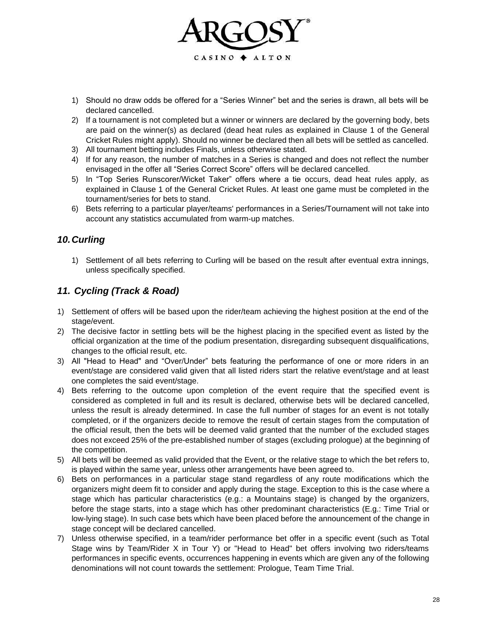

- 1) Should no draw odds be offered for a "Series Winner" bet and the series is drawn, all bets will be declared cancelled.
- 2) If a tournament is not completed but a winner or winners are declared by the governing body, bets are paid on the winner(s) as declared (dead heat rules as explained in Clause 1 of the General Cricket Rules might apply). Should no winner be declared then all bets will be settled as cancelled.
- 3) All tournament betting includes Finals, unless otherwise stated.
- 4) If for any reason, the number of matches in a Series is changed and does not reflect the number envisaged in the offer all "Series Correct Score" offers will be declared cancelled.
- 5) In "Top Series Runscorer/Wicket Taker" offers where a tie occurs, dead heat rules apply, as explained in Clause 1 of the General Cricket Rules. At least one game must be completed in the tournament/series for bets to stand.
- 6) Bets referring to a particular player/teams' performances in a Series/Tournament will not take into account any statistics accumulated from warm-up matches.

# *10.Curling*

1) Settlement of all bets referring to Curling will be based on the result after eventual extra innings, unless specifically specified.

# *11. Cycling (Track & Road)*

- 1) Settlement of offers will be based upon the rider/team achieving the highest position at the end of the stage/event.
- 2) The decisive factor in settling bets will be the highest placing in the specified event as listed by the official organization at the time of the podium presentation, disregarding subsequent disqualifications, changes to the official result, etc.
- 3) All "Head to Head" and "Over/Under" bets featuring the performance of one or more riders in an event/stage are considered valid given that all listed riders start the relative event/stage and at least one completes the said event/stage.
- 4) Bets referring to the outcome upon completion of the event require that the specified event is considered as completed in full and its result is declared, otherwise bets will be declared cancelled, unless the result is already determined. In case the full number of stages for an event is not totally completed, or if the organizers decide to remove the result of certain stages from the computation of the official result, then the bets will be deemed valid granted that the number of the excluded stages does not exceed 25% of the pre-established number of stages (excluding prologue) at the beginning of the competition.
- 5) All bets will be deemed as valid provided that the Event, or the relative stage to which the bet refers to, is played within the same year, unless other arrangements have been agreed to.
- 6) Bets on performances in a particular stage stand regardless of any route modifications which the organizers might deem fit to consider and apply during the stage. Exception to this is the case where a stage which has particular characteristics (e.g.: a Mountains stage) is changed by the organizers, before the stage starts, into a stage which has other predominant characteristics (E.g.: Time Trial or low-lying stage). In such case bets which have been placed before the announcement of the change in stage concept will be declared cancelled.
- 7) Unless otherwise specified, in a team/rider performance bet offer in a specific event (such as Total Stage wins by Team/Rider X in Tour Y) or "Head to Head" bet offers involving two riders/teams performances in specific events, occurrences happening in events which are given any of the following denominations will not count towards the settlement: Prologue, Team Time Trial.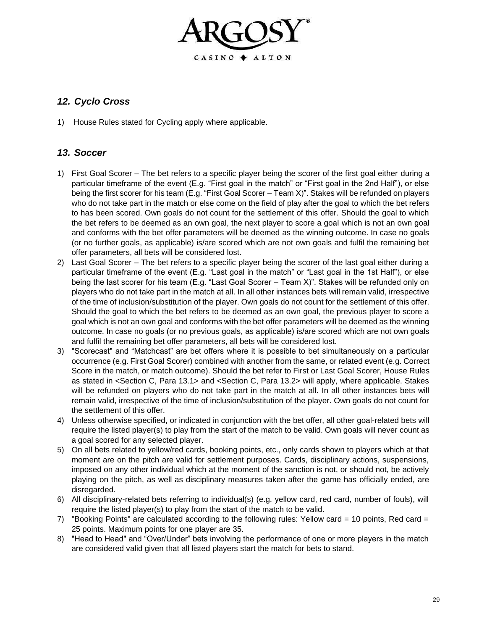

# *12. Cyclo Cross*

1) House Rules stated for Cycling apply where applicable.

#### *13. Soccer*

- 1) First Goal Scorer The bet refers to a specific player being the scorer of the first goal either during a particular timeframe of the event (E.g. "First goal in the match" or "First goal in the 2nd Half"), or else being the first scorer for his team (E.g. "First Goal Scorer – Team X)". Stakes will be refunded on players who do not take part in the match or else come on the field of play after the goal to which the bet refers to has been scored. Own goals do not count for the settlement of this offer. Should the goal to which the bet refers to be deemed as an own goal, the next player to score a goal which is not an own goal and conforms with the bet offer parameters will be deemed as the winning outcome. In case no goals (or no further goals, as applicable) is/are scored which are not own goals and fulfil the remaining bet offer parameters, all bets will be considered lost.
- 2) Last Goal Scorer The bet refers to a specific player being the scorer of the last goal either during a particular timeframe of the event (E.g. "Last goal in the match" or "Last goal in the 1st Half"), or else being the last scorer for his team (E.g. "Last Goal Scorer – Team X)". Stakes will be refunded only on players who do not take part in the match at all. In all other instances bets will remain valid, irrespective of the time of inclusion/substitution of the player. Own goals do not count for the settlement of this offer. Should the goal to which the bet refers to be deemed as an own goal, the previous player to score a goal which is not an own goal and conforms with the bet offer parameters will be deemed as the winning outcome. In case no goals (or no previous goals, as applicable) is/are scored which are not own goals and fulfil the remaining bet offer parameters, all bets will be considered lost.
- 3) "Scorecast" and "Matchcast" are bet offers where it is possible to bet simultaneously on a particular occurrence (e.g. First Goal Scorer) combined with another from the same, or related event (e.g. Correct Score in the match, or match outcome). Should the bet refer to First or Last Goal Scorer, House Rules as stated in <Section C, Para 13.1> and <Section C, Para 13.2> will apply, where applicable. Stakes will be refunded on players who do not take part in the match at all. In all other instances bets will remain valid, irrespective of the time of inclusion/substitution of the player. Own goals do not count for the settlement of this offer.
- 4) Unless otherwise specified, or indicated in conjunction with the bet offer, all other goal-related bets will require the listed player(s) to play from the start of the match to be valid. Own goals will never count as a goal scored for any selected player.
- 5) On all bets related to yellow/red cards, booking points, etc., only cards shown to players which at that moment are on the pitch are valid for settlement purposes. Cards, disciplinary actions, suspensions, imposed on any other individual which at the moment of the sanction is not, or should not, be actively playing on the pitch, as well as disciplinary measures taken after the game has officially ended, are disregarded.
- 6) All disciplinary-related bets referring to individual(s) (e.g. yellow card, red card, number of fouls), will require the listed player(s) to play from the start of the match to be valid.
- 7) "Booking Points" are calculated according to the following rules: Yellow card = 10 points, Red card = 25 points. Maximum points for one player are 35.
- 8) "Head to Head" and "Over/Under" bets involving the performance of one or more players in the match are considered valid given that all listed players start the match for bets to stand.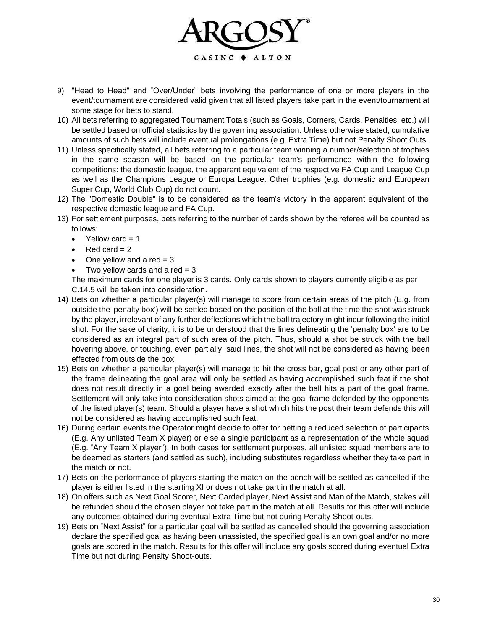

- 9) "Head to Head" and "Over/Under" bets involving the performance of one or more players in the event/tournament are considered valid given that all listed players take part in the event/tournament at some stage for bets to stand.
- 10) All bets referring to aggregated Tournament Totals (such as Goals, Corners, Cards, Penalties, etc.) will be settled based on official statistics by the governing association. Unless otherwise stated, cumulative amounts of such bets will include eventual prolongations (e.g. Extra Time) but not Penalty Shoot Outs.
- 11) Unless specifically stated, all bets referring to a particular team winning a number/selection of trophies in the same season will be based on the particular team's performance within the following competitions: the domestic league, the apparent equivalent of the respective FA Cup and League Cup as well as the Champions League or Europa League. Other trophies (e.g. domestic and European Super Cup, World Club Cup) do not count.
- 12) The "Domestic Double" is to be considered as the team's victory in the apparent equivalent of the respective domestic league and FA Cup.
- 13) For settlement purposes, bets referring to the number of cards shown by the referee will be counted as follows:
	- Yellow card  $= 1$
	- $Red$  card = 2
	- One yellow and a red  $= 3$
	- Two yellow cards and a red  $= 3$

The maximum cards for one player is 3 cards. Only cards shown to players currently eligible as per C.14.5 will be taken into consideration.

- 14) Bets on whether a particular player(s) will manage to score from certain areas of the pitch (E.g. from outside the 'penalty box') will be settled based on the position of the ball at the time the shot was struck by the player, irrelevant of any further deflections which the ball trajectory might incur following the initial shot. For the sake of clarity, it is to be understood that the lines delineating the 'penalty box' are to be considered as an integral part of such area of the pitch. Thus, should a shot be struck with the ball hovering above, or touching, even partially, said lines, the shot will not be considered as having been effected from outside the box.
- 15) Bets on whether a particular player(s) will manage to hit the cross bar, goal post or any other part of the frame delineating the goal area will only be settled as having accomplished such feat if the shot does not result directly in a goal being awarded exactly after the ball hits a part of the goal frame. Settlement will only take into consideration shots aimed at the goal frame defended by the opponents of the listed player(s) team. Should a player have a shot which hits the post their team defends this will not be considered as having accomplished such feat.
- 16) During certain events the Operator might decide to offer for betting a reduced selection of participants (E.g. Any unlisted Team X player) or else a single participant as a representation of the whole squad (E.g. "Any Team X player"). In both cases for settlement purposes, all unlisted squad members are to be deemed as starters (and settled as such), including substitutes regardless whether they take part in the match or not.
- 17) Bets on the performance of players starting the match on the bench will be settled as cancelled if the player is either listed in the starting XI or does not take part in the match at all.
- 18) On offers such as Next Goal Scorer, Next Carded player, Next Assist and Man of the Match, stakes will be refunded should the chosen player not take part in the match at all. Results for this offer will include any outcomes obtained during eventual Extra Time but not during Penalty Shoot-outs.
- 19) Bets on "Next Assist" for a particular goal will be settled as cancelled should the governing association declare the specified goal as having been unassisted, the specified goal is an own goal and/or no more goals are scored in the match. Results for this offer will include any goals scored during eventual Extra Time but not during Penalty Shoot-outs.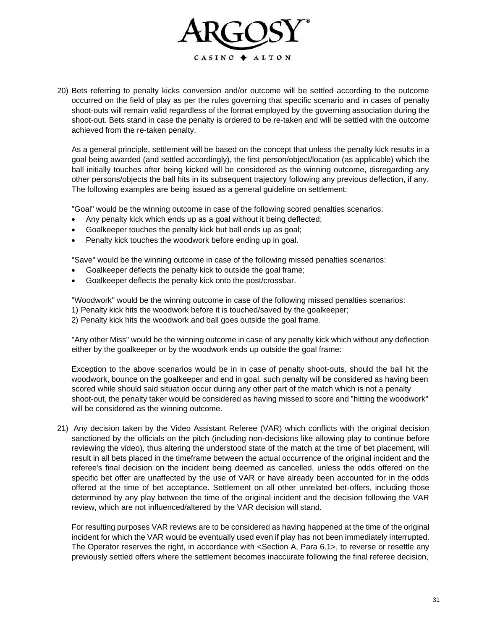

20) Bets referring to penalty kicks conversion and/or outcome will be settled according to the outcome occurred on the field of play as per the rules governing that specific scenario and in cases of penalty shoot-outs will remain valid regardless of the format employed by the governing association during the shoot-out. Bets stand in case the penalty is ordered to be re-taken and will be settled with the outcome achieved from the re-taken penalty.

As a general principle, settlement will be based on the concept that unless the penalty kick results in a goal being awarded (and settled accordingly), the first person/object/location (as applicable) which the ball initially touches after being kicked will be considered as the winning outcome, disregarding any other persons/objects the ball hits in its subsequent trajectory following any previous deflection, if any. The following examples are being issued as a general guideline on settlement:

"Goal" would be the winning outcome in case of the following scored penalties scenarios:

- Any penalty kick which ends up as a goal without it being deflected;
- Goalkeeper touches the penalty kick but ball ends up as goal;
- Penalty kick touches the woodwork before ending up in goal.

"Save" would be the winning outcome in case of the following missed penalties scenarios:

- Goalkeeper deflects the penalty kick to outside the goal frame;
- Goalkeeper deflects the penalty kick onto the post/crossbar.

"Woodwork" would be the winning outcome in case of the following missed penalties scenarios:

- 1) Penalty kick hits the woodwork before it is touched/saved by the goalkeeper;
- 2) Penalty kick hits the woodwork and ball goes outside the goal frame.

"Any other Miss" would be the winning outcome in case of any penalty kick which without any deflection either by the goalkeeper or by the woodwork ends up outside the goal frame:

Exception to the above scenarios would be in in case of penalty shoot-outs, should the ball hit the woodwork, bounce on the goalkeeper and end in goal, such penalty will be considered as having been scored while should said situation occur during any other part of the match which is not a penalty shoot-out, the penalty taker would be considered as having missed to score and "hitting the woodwork" will be considered as the winning outcome.

21) Any decision taken by the Video Assistant Referee (VAR) which conflicts with the original decision sanctioned by the officials on the pitch (including non-decisions like allowing play to continue before reviewing the video), thus altering the understood state of the match at the time of bet placement, will result in all bets placed in the timeframe between the actual occurrence of the original incident and the referee's final decision on the incident being deemed as cancelled, unless the odds offered on the specific bet offer are unaffected by the use of VAR or have already been accounted for in the odds offered at the time of bet acceptance. Settlement on all other unrelated bet-offers, including those determined by any play between the time of the original incident and the decision following the VAR review, which are not influenced/altered by the VAR decision will stand.

For resulting purposes VAR reviews are to be considered as having happened at the time of the original incident for which the VAR would be eventually used even if play has not been immediately interrupted. The Operator reserves the right, in accordance with <Section A, Para 6.1>, to reverse or resettle any previously settled offers where the settlement becomes inaccurate following the final referee decision,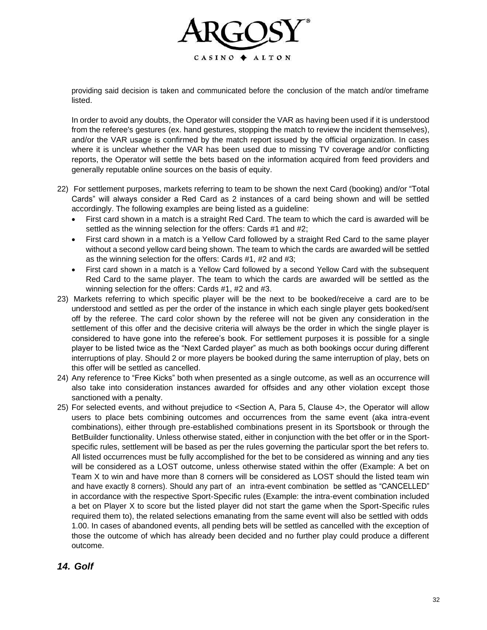

providing said decision is taken and communicated before the conclusion of the match and/or timeframe listed.

In order to avoid any doubts, the Operator will consider the VAR as having been used if it is understood from the referee's gestures (ex. hand gestures, stopping the match to review the incident themselves), and/or the VAR usage is confirmed by the match report issued by the official organization. In cases where it is unclear whether the VAR has been used due to missing TV coverage and/or conflicting reports, the Operator will settle the bets based on the information acquired from feed providers and generally reputable online sources on the basis of equity.

- 22) For settlement purposes, markets referring to team to be shown the next Card (booking) and/or "Total Cards" will always consider a Red Card as 2 instances of a card being shown and will be settled accordingly. The following examples are being listed as a guideline:
	- First card shown in a match is a straight Red Card. The team to which the card is awarded will be settled as the winning selection for the offers: Cards #1 and #2;
	- First card shown in a match is a Yellow Card followed by a straight Red Card to the same player without a second yellow card being shown. The team to which the cards are awarded will be settled as the winning selection for the offers: Cards #1, #2 and #3;
	- First card shown in a match is a Yellow Card followed by a second Yellow Card with the subsequent Red Card to the same player. The team to which the cards are awarded will be settled as the winning selection for the offers: Cards #1, #2 and #3.
- 23) Markets referring to which specific player will be the next to be booked/receive a card are to be understood and settled as per the order of the instance in which each single player gets booked/sent off by the referee. The card color shown by the referee will not be given any consideration in the settlement of this offer and the decisive criteria will always be the order in which the single player is considered to have gone into the referee's book. For settlement purposes it is possible for a single player to be listed twice as the "Next Carded player" as much as both bookings occur during different interruptions of play. Should 2 or more players be booked during the same interruption of play, bets on this offer will be settled as cancelled.
- 24) Any reference to "Free Kicks" both when presented as a single outcome, as well as an occurrence will also take into consideration instances awarded for offsides and any other violation except those sanctioned with a penalty.
- 25) For selected events, and without prejudice to <Section A, Para 5, Clause 4>, the Operator will allow users to place bets combining outcomes and occurrences from the same event (aka intra-event combinations), either through pre-established combinations present in its Sportsbook or through the BetBuilder functionality. Unless otherwise stated, either in conjunction with the bet offer or in the Sportspecific rules, settlement will be based as per the rules governing the particular sport the bet refers to. All listed occurrences must be fully accomplished for the bet to be considered as winning and any ties will be considered as a LOST outcome, unless otherwise stated within the offer (Example: A bet on Team X to win and have more than 8 corners will be considered as LOST should the listed team win and have exactly 8 corners). Should any part of an intra-event combination be settled as "CANCELLED" in accordance with the respective Sport-Specific rules (Example: the intra-event combination included a bet on Player X to score but the listed player did not start the game when the Sport-Specific rules required them to), the related selections emanating from the same event will also be settled with odds 1.00. In cases of abandoned events, all pending bets will be settled as cancelled with the exception of those the outcome of which has already been decided and no further play could produce a different outcome.

#### *14. Golf*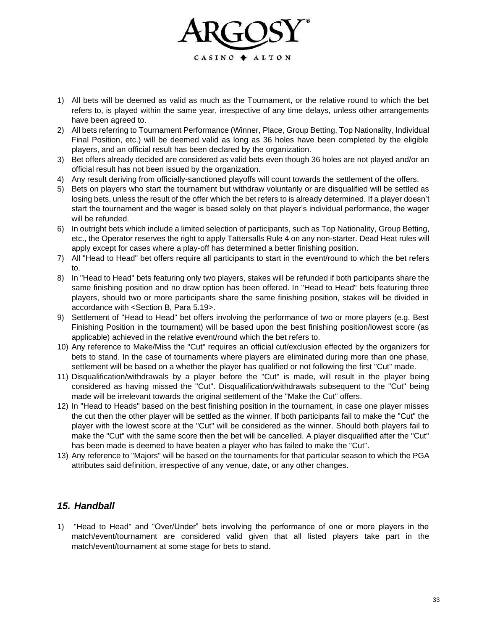

- 1) All bets will be deemed as valid as much as the Tournament, or the relative round to which the bet refers to, is played within the same year, irrespective of any time delays, unless other arrangements have been agreed to.
- 2) All bets referring to Tournament Performance (Winner, Place, Group Betting, Top Nationality, Individual Final Position, etc.) will be deemed valid as long as 36 holes have been completed by the eligible players, and an official result has been declared by the organization.
- 3) Bet offers already decided are considered as valid bets even though 36 holes are not played and/or an official result has not been issued by the organization.
- 4) Any result deriving from officially-sanctioned playoffs will count towards the settlement of the offers.
- 5) Bets on players who start the tournament but withdraw voluntarily or are disqualified will be settled as losing bets, unless the result of the offer which the bet refers to is already determined. If a player doesn't start the tournament and the wager is based solely on that player's individual performance, the wager will be refunded.
- 6) In outright bets which include a limited selection of participants, such as Top Nationality, Group Betting, etc., the Operator reserves the right to apply Tattersalls Rule 4 on any non-starter. Dead Heat rules will apply except for cases where a play-off has determined a better finishing position.
- 7) All "Head to Head" bet offers require all participants to start in the event/round to which the bet refers to.
- 8) In "Head to Head" bets featuring only two players, stakes will be refunded if both participants share the same finishing position and no draw option has been offered. In "Head to Head" bets featuring three players, should two or more participants share the same finishing position, stakes will be divided in accordance with <Section B, Para 5.19>.
- 9) Settlement of "Head to Head" bet offers involving the performance of two or more players (e.g. Best Finishing Position in the tournament) will be based upon the best finishing position/lowest score (as applicable) achieved in the relative event/round which the bet refers to.
- 10) Any reference to Make/Miss the "Cut" requires an official cut/exclusion effected by the organizers for bets to stand. In the case of tournaments where players are eliminated during more than one phase, settlement will be based on a whether the player has qualified or not following the first "Cut" made.
- 11) Disqualification/withdrawals by a player before the "Cut" is made, will result in the player being considered as having missed the "Cut". Disqualification/withdrawals subsequent to the "Cut" being made will be irrelevant towards the original settlement of the "Make the Cut" offers.
- 12) In "Head to Heads" based on the best finishing position in the tournament, in case one player misses the cut then the other player will be settled as the winner. If both participants fail to make the "Cut" the player with the lowest score at the "Cut" will be considered as the winner. Should both players fail to make the "Cut" with the same score then the bet will be cancelled. A player disqualified after the "Cut" has been made is deemed to have beaten a player who has failed to make the "Cut".
- 13) Any reference to "Majors" will be based on the tournaments for that particular season to which the PGA attributes said definition, irrespective of any venue, date, or any other changes.

#### *15. Handball*

1) "Head to Head" and "Over/Under" bets involving the performance of one or more players in the match/event/tournament are considered valid given that all listed players take part in the match/event/tournament at some stage for bets to stand.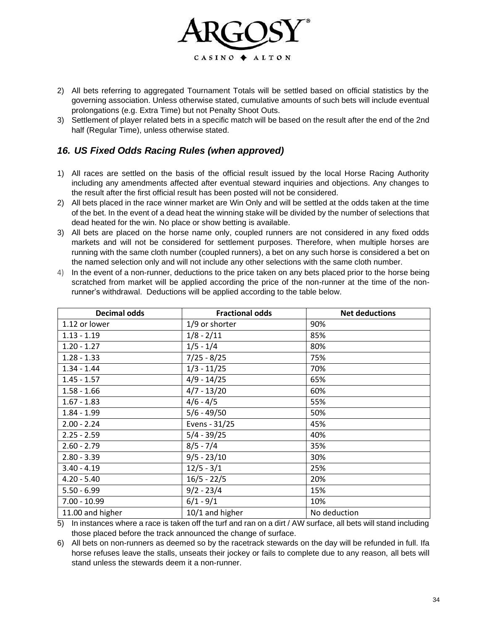

- 2) All bets referring to aggregated Tournament Totals will be settled based on official statistics by the governing association. Unless otherwise stated, cumulative amounts of such bets will include eventual prolongations (e.g. Extra Time) but not Penalty Shoot Outs.
- 3) Settlement of player related bets in a specific match will be based on the result after the end of the 2nd half (Regular Time), unless otherwise stated.

# *16. US Fixed Odds Racing Rules (when approved)*

- 1) All races are settled on the basis of the official result issued by the local Horse Racing Authority including any amendments affected after eventual steward inquiries and objections. Any changes to the result after the first official result has been posted will not be considered.
- 2) All bets placed in the race winner market are Win Only and will be settled at the odds taken at the time of the bet. In the event of a dead heat the winning stake will be divided by the number of selections that dead heated for the win. No place or show betting is available.
- 3) All bets are placed on the horse name only, coupled runners are not considered in any fixed odds markets and will not be considered for settlement purposes. Therefore, when multiple horses are running with the same cloth number (coupled runners), a bet on any such horse is considered a bet on the named selection only and will not include any other selections with the same cloth number.
- 4) In the event of a non-runner, deductions to the price taken on any bets placed prior to the horse being scratched from market will be applied according the price of the non-runner at the time of the nonrunner's withdrawal. Deductions will be applied according to the table below.

| <b>Decimal odds</b> | <b>Fractional odds</b> | <b>Net deductions</b> |
|---------------------|------------------------|-----------------------|
| 1.12 or lower       | 1/9 or shorter         | 90%                   |
| $1.13 - 1.19$       | $1/8 - 2/11$           | 85%                   |
| $1.20 - 1.27$       | $1/5 - 1/4$            | 80%                   |
| $1.28 - 1.33$       | $7/25 - 8/25$          | 75%                   |
| $1.34 - 1.44$       | $1/3 - 11/25$          | 70%                   |
| $1.45 - 1.57$       | $4/9 - 14/25$          | 65%                   |
| $1.58 - 1.66$       | $4/7 - 13/20$          | 60%                   |
| $1.67 - 1.83$       | $4/6 - 4/5$            | 55%                   |
| $1.84 - 1.99$       | $5/6 - 49/50$          | 50%                   |
| $2.00 - 2.24$       | Evens - 31/25          | 45%                   |
| $2.25 - 2.59$       | $5/4 - 39/25$          | 40%                   |
| $2.60 - 2.79$       | $8/5 - 7/4$            | 35%                   |
| $2.80 - 3.39$       | $9/5 - 23/10$          | 30%                   |
| $3.40 - 4.19$       | $12/5 - 3/1$           | 25%                   |
| $4.20 - 5.40$       | $16/5 - 22/5$          | 20%                   |
| $5.50 - 6.99$       | $9/2 - 23/4$           | 15%                   |
| $7.00 - 10.99$      | $6/1 - 9/1$            | 10%                   |
| 11.00 and higher    | 10/1 and higher        | No deduction          |

5) In instances where a race is taken off the turf and ran on a dirt / AW surface, all bets will stand including those placed before the track announced the change of surface.

6) All bets on non-runners as deemed so by the racetrack stewards on the day will be refunded in full. Ifa horse refuses leave the stalls, unseats their jockey or fails to complete due to any reason, all bets will stand unless the stewards deem it a non-runner.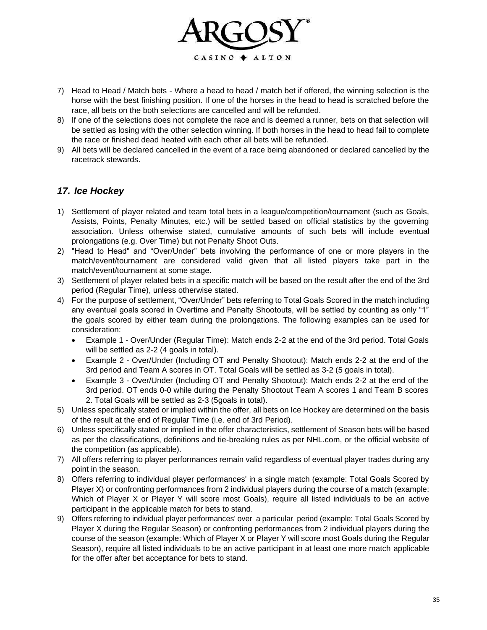

- 7) Head to Head / Match bets Where a head to head / match bet if offered, the winning selection is the horse with the best finishing position. If one of the horses in the head to head is scratched before the race, all bets on the both selections are cancelled and will be refunded.
- 8) If one of the selections does not complete the race and is deemed a runner, bets on that selection will be settled as losing with the other selection winning. If both horses in the head to head fail to complete the race or finished dead heated with each other all bets will be refunded.
- 9) All bets will be declared cancelled in the event of a race being abandoned or declared cancelled by the racetrack stewards.

#### *17. Ice Hockey*

- 1) Settlement of player related and team total bets in a league/competition/tournament (such as Goals, Assists, Points, Penalty Minutes, etc.) will be settled based on official statistics by the governing association. Unless otherwise stated, cumulative amounts of such bets will include eventual prolongations (e.g. Over Time) but not Penalty Shoot Outs.
- 2) "Head to Head" and "Over/Under" bets involving the performance of one or more players in the match/event/tournament are considered valid given that all listed players take part in the match/event/tournament at some stage.
- 3) Settlement of player related bets in a specific match will be based on the result after the end of the 3rd period (Regular Time), unless otherwise stated.
- 4) For the purpose of settlement, "Over/Under" bets referring to Total Goals Scored in the match including any eventual goals scored in Overtime and Penalty Shootouts, will be settled by counting as only "1" the goals scored by either team during the prolongations. The following examples can be used for consideration:
	- Example 1 Over/Under (Regular Time): Match ends 2-2 at the end of the 3rd period. Total Goals will be settled as 2-2 (4 goals in total).
	- Example 2 Over/Under (Including OT and Penalty Shootout): Match ends 2-2 at the end of the 3rd period and Team A scores in OT. Total Goals will be settled as 3-2 (5 goals in total).
	- Example 3 Over/Under (Including OT and Penalty Shootout): Match ends 2-2 at the end of the 3rd period. OT ends 0-0 while during the Penalty Shootout Team A scores 1 and Team B scores 2. Total Goals will be settled as 2-3 (5goals in total).
- 5) Unless specifically stated or implied within the offer, all bets on Ice Hockey are determined on the basis of the result at the end of Regular Time (i.e. end of 3rd Period).
- 6) Unless specifically stated or implied in the offer characteristics, settlement of Season bets will be based as per the classifications, definitions and tie-breaking rules as per NHL.com, or the official website of the competition (as applicable).
- 7) All offers referring to player performances remain valid regardless of eventual player trades during any point in the season.
- 8) Offers referring to individual player performances' in a single match (example: Total Goals Scored by Player X) or confronting performances from 2 individual players during the course of a match (example: Which of Player X or Player Y will score most Goals), require all listed individuals to be an active participant in the applicable match for bets to stand.
- 9) Offers referring to individual player performances' over a particular period (example: Total Goals Scored by Player X during the Regular Season) or confronting performances from 2 individual players during the course of the season (example: Which of Player X or Player Y will score most Goals during the Regular Season), require all listed individuals to be an active participant in at least one more match applicable for the offer after bet acceptance for bets to stand.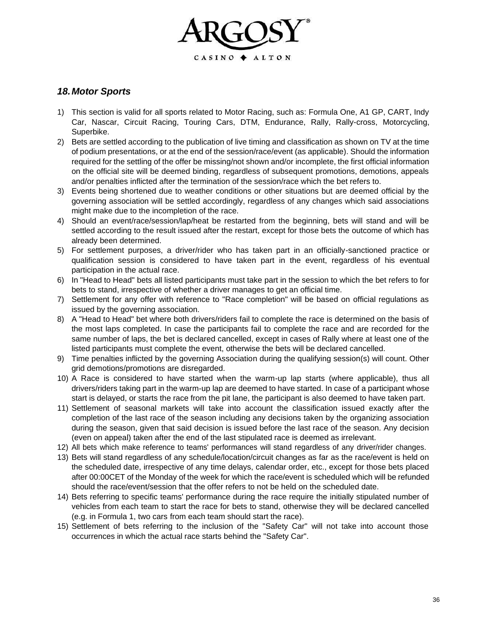

#### *18.Motor Sports*

- 1) This section is valid for all sports related to Motor Racing, such as: Formula One, A1 GP, CART, Indy Car, Nascar, Circuit Racing, Touring Cars, DTM, Endurance, Rally, Rally-cross, Motorcycling, Superbike.
- 2) Bets are settled according to the publication of live timing and classification as shown on TV at the time of podium presentations, or at the end of the session/race/event (as applicable). Should the information required for the settling of the offer be missing/not shown and/or incomplete, the first official information on the official site will be deemed binding, regardless of subsequent promotions, demotions, appeals and/or penalties inflicted after the termination of the session/race which the bet refers to.
- 3) Events being shortened due to weather conditions or other situations but are deemed official by the governing association will be settled accordingly, regardless of any changes which said associations might make due to the incompletion of the race.
- 4) Should an event/race/session/lap/heat be restarted from the beginning, bets will stand and will be settled according to the result issued after the restart, except for those bets the outcome of which has already been determined.
- 5) For settlement purposes, a driver/rider who has taken part in an officially-sanctioned practice or qualification session is considered to have taken part in the event, regardless of his eventual participation in the actual race.
- 6) In "Head to Head" bets all listed participants must take part in the session to which the bet refers to for bets to stand, irrespective of whether a driver manages to get an official time.
- 7) Settlement for any offer with reference to "Race completion" will be based on official regulations as issued by the governing association.
- 8) A "Head to Head" bet where both drivers/riders fail to complete the race is determined on the basis of the most laps completed. In case the participants fail to complete the race and are recorded for the same number of laps, the bet is declared cancelled, except in cases of Rally where at least one of the listed participants must complete the event, otherwise the bets will be declared cancelled.
- 9) Time penalties inflicted by the governing Association during the qualifying session(s) will count. Other grid demotions/promotions are disregarded.
- 10) A Race is considered to have started when the warm-up lap starts (where applicable), thus all drivers/riders taking part in the warm-up lap are deemed to have started. In case of a participant whose start is delayed, or starts the race from the pit lane, the participant is also deemed to have taken part.
- 11) Settlement of seasonal markets will take into account the classification issued exactly after the completion of the last race of the season including any decisions taken by the organizing association during the season, given that said decision is issued before the last race of the season. Any decision (even on appeal) taken after the end of the last stipulated race is deemed as irrelevant.
- 12) All bets which make reference to teams' performances will stand regardless of any driver/rider changes.
- 13) Bets will stand regardless of any schedule/location/circuit changes as far as the race/event is held on the scheduled date, irrespective of any time delays, calendar order, etc., except for those bets placed after 00:00CET of the Monday of the week for which the race/event is scheduled which will be refunded should the race/event/session that the offer refers to not be held on the scheduled date.
- 14) Bets referring to specific teams' performance during the race require the initially stipulated number of vehicles from each team to start the race for bets to stand, otherwise they will be declared cancelled (e.g. in Formula 1, two cars from each team should start the race).
- 15) Settlement of bets referring to the inclusion of the "Safety Car" will not take into account those occurrences in which the actual race starts behind the "Safety Car".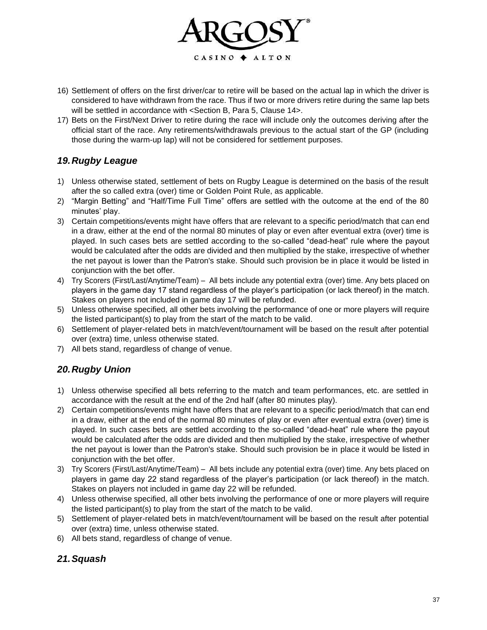

- 16) Settlement of offers on the first driver/car to retire will be based on the actual lap in which the driver is considered to have withdrawn from the race. Thus if two or more drivers retire during the same lap bets will be settled in accordance with <Section B, Para 5, Clause 14>.
- 17) Bets on the First/Next Driver to retire during the race will include only the outcomes deriving after the official start of the race. Any retirements/withdrawals previous to the actual start of the GP (including those during the warm-up lap) will not be considered for settlement purposes.

# *19.Rugby League*

- 1) Unless otherwise stated, settlement of bets on Rugby League is determined on the basis of the result after the so called extra (over) time or Golden Point Rule, as applicable.
- 2) "Margin Betting" and "Half/Time Full Time" offers are settled with the outcome at the end of the 80 minutes' play.
- 3) Certain competitions/events might have offers that are relevant to a specific period/match that can end in a draw, either at the end of the normal 80 minutes of play or even after eventual extra (over) time is played. In such cases bets are settled according to the so-called "dead-heat" rule where the payout would be calculated after the odds are divided and then multiplied by the stake, irrespective of whether the net payout is lower than the Patron's stake. Should such provision be in place it would be listed in conjunction with the bet offer.
- 4) Try Scorers (First/Last/Anytime/Team) All bets include any potential extra (over) time. Any bets placed on players in the game day 17 stand regardless of the player's participation (or lack thereof) in the match. Stakes on players not included in game day 17 will be refunded.
- 5) Unless otherwise specified, all other bets involving the performance of one or more players will require the listed participant(s) to play from the start of the match to be valid.
- 6) Settlement of player-related bets in match/event/tournament will be based on the result after potential over (extra) time, unless otherwise stated.
- 7) All bets stand, regardless of change of venue.

# *20.Rugby Union*

- 1) Unless otherwise specified all bets referring to the match and team performances, etc. are settled in accordance with the result at the end of the 2nd half (after 80 minutes play).
- 2) Certain competitions/events might have offers that are relevant to a specific period/match that can end in a draw, either at the end of the normal 80 minutes of play or even after eventual extra (over) time is played. In such cases bets are settled according to the so-called "dead-heat" rule where the payout would be calculated after the odds are divided and then multiplied by the stake, irrespective of whether the net payout is lower than the Patron's stake. Should such provision be in place it would be listed in conjunction with the bet offer.
- 3) Try Scorers (First/Last/Anytime/Team) All bets include any potential extra (over) time. Any bets placed on players in game day 22 stand regardless of the player's participation (or lack thereof) in the match. Stakes on players not included in game day 22 will be refunded.
- 4) Unless otherwise specified, all other bets involving the performance of one or more players will require the listed participant(s) to play from the start of the match to be valid.
- 5) Settlement of player-related bets in match/event/tournament will be based on the result after potential over (extra) time, unless otherwise stated.
- 6) All bets stand, regardless of change of venue.

# *21.Squash*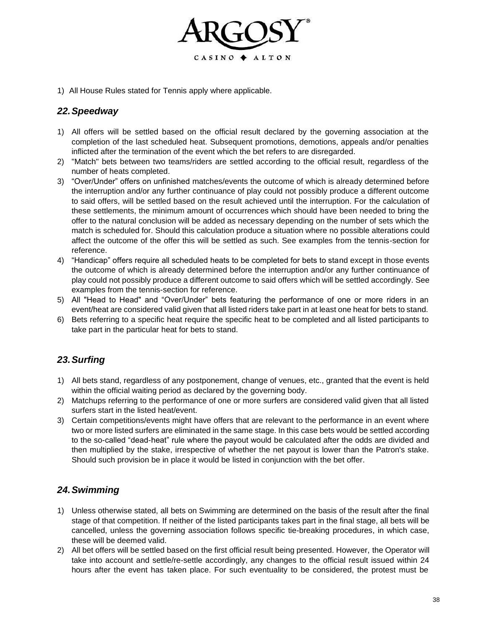

1) All House Rules stated for Tennis apply where applicable.

# *22.Speedway*

- 1) All offers will be settled based on the official result declared by the governing association at the completion of the last scheduled heat. Subsequent promotions, demotions, appeals and/or penalties inflicted after the termination of the event which the bet refers to are disregarded.
- 2) "Match" bets between two teams/riders are settled according to the official result, regardless of the number of heats completed.
- 3) "Over/Under" offers on unfinished matches/events the outcome of which is already determined before the interruption and/or any further continuance of play could not possibly produce a different outcome to said offers, will be settled based on the result achieved until the interruption. For the calculation of these settlements, the minimum amount of occurrences which should have been needed to bring the offer to the natural conclusion will be added as necessary depending on the number of sets which the match is scheduled for. Should this calculation produce a situation where no possible alterations could affect the outcome of the offer this will be settled as such. See examples from the tennis-section for reference.
- 4) "Handicap" offers require all scheduled heats to be completed for bets to stand except in those events the outcome of which is already determined before the interruption and/or any further continuance of play could not possibly produce a different outcome to said offers which will be settled accordingly. See examples from the tennis-section for reference.
- 5) All "Head to Head" and "Over/Under" bets featuring the performance of one or more riders in an event/heat are considered valid given that all listed riders take part in at least one heat for bets to stand.
- 6) Bets referring to a specific heat require the specific heat to be completed and all listed participants to take part in the particular heat for bets to stand.

# *23.Surfing*

- 1) All bets stand, regardless of any postponement, change of venues, etc., granted that the event is held within the official waiting period as declared by the governing body.
- 2) Matchups referring to the performance of one or more surfers are considered valid given that all listed surfers start in the listed heat/event.
- 3) Certain competitions/events might have offers that are relevant to the performance in an event where two or more listed surfers are eliminated in the same stage. In this case bets would be settled according to the so-called "dead-heat" rule where the payout would be calculated after the odds are divided and then multiplied by the stake, irrespective of whether the net payout is lower than the Patron's stake. Should such provision be in place it would be listed in conjunction with the bet offer.

# *24.Swimming*

- 1) Unless otherwise stated, all bets on Swimming are determined on the basis of the result after the final stage of that competition. If neither of the listed participants takes part in the final stage, all bets will be cancelled, unless the governing association follows specific tie-breaking procedures, in which case, these will be deemed valid.
- 2) All bet offers will be settled based on the first official result being presented. However, the Operator will take into account and settle/re-settle accordingly, any changes to the official result issued within 24 hours after the event has taken place. For such eventuality to be considered, the protest must be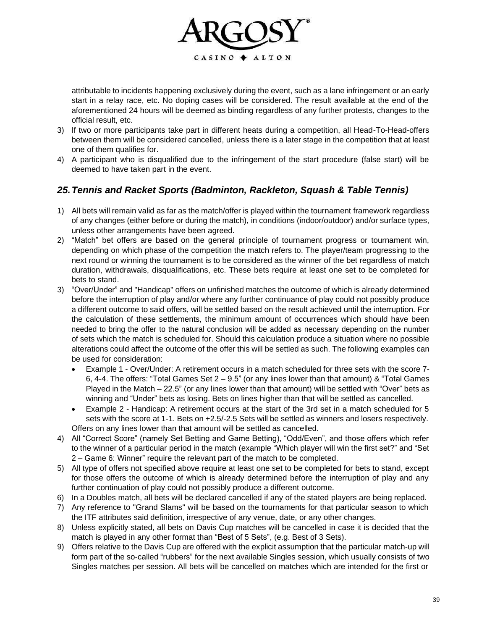

attributable to incidents happening exclusively during the event, such as a lane infringement or an early start in a relay race, etc. No doping cases will be considered. The result available at the end of the aforementioned 24 hours will be deemed as binding regardless of any further protests, changes to the official result, etc.

- 3) If two or more participants take part in different heats during a competition, all Head-To-Head-offers between them will be considered cancelled, unless there is a later stage in the competition that at least one of them qualifies for.
- 4) A participant who is disqualified due to the infringement of the start procedure (false start) will be deemed to have taken part in the event.

# *25.Tennis and Racket Sports (Badminton, Rackleton, Squash & Table Tennis)*

- 1) All bets will remain valid as far as the match/offer is played within the tournament framework regardless of any changes (either before or during the match), in conditions (indoor/outdoor) and/or surface types, unless other arrangements have been agreed.
- 2) "Match" bet offers are based on the general principle of tournament progress or tournament win, depending on which phase of the competition the match refers to. The player/team progressing to the next round or winning the tournament is to be considered as the winner of the bet regardless of match duration, withdrawals, disqualifications, etc. These bets require at least one set to be completed for bets to stand.
- 3) "Over/Under" and "Handicap" offers on unfinished matches the outcome of which is already determined before the interruption of play and/or where any further continuance of play could not possibly produce a different outcome to said offers, will be settled based on the result achieved until the interruption. For the calculation of these settlements, the minimum amount of occurrences which should have been needed to bring the offer to the natural conclusion will be added as necessary depending on the number of sets which the match is scheduled for. Should this calculation produce a situation where no possible alterations could affect the outcome of the offer this will be settled as such. The following examples can be used for consideration:
	- Example 1 Over/Under: A retirement occurs in a match scheduled for three sets with the score 7- 6, 4-4. The offers: "Total Games Set 2 – 9.5" (or any lines lower than that amount) & "Total Games Played in the Match – 22.5" (or any lines lower than that amount) will be settled with "Over" bets as winning and "Under" bets as losing. Bets on lines higher than that will be settled as cancelled.
	- Example 2 Handicap: A retirement occurs at the start of the 3rd set in a match scheduled for 5 sets with the score at 1-1. Bets on +2.5/-2.5 Sets will be settled as winners and losers respectively. Offers on any lines lower than that amount will be settled as cancelled.
- 4) All "Correct Score" (namely Set Betting and Game Betting), "Odd/Even", and those offers which refer to the winner of a particular period in the match (example "Which player will win the first set?" and "Set 2 – Game 6: Winner" require the relevant part of the match to be completed.
- 5) All type of offers not specified above require at least one set to be completed for bets to stand, except for those offers the outcome of which is already determined before the interruption of play and any further continuation of play could not possibly produce a different outcome.
- 6) In a Doubles match, all bets will be declared cancelled if any of the stated players are being replaced.
- 7) Any reference to "Grand Slams" will be based on the tournaments for that particular season to which the ITF attributes said definition, irrespective of any venue, date, or any other changes.
- 8) Unless explicitly stated, all bets on Davis Cup matches will be cancelled in case it is decided that the match is played in any other format than "Best of 5 Sets", (e.g. Best of 3 Sets).
- 9) Offers relative to the Davis Cup are offered with the explicit assumption that the particular match-up will form part of the so-called "rubbers" for the next available Singles session, which usually consists of two Singles matches per session. All bets will be cancelled on matches which are intended for the first or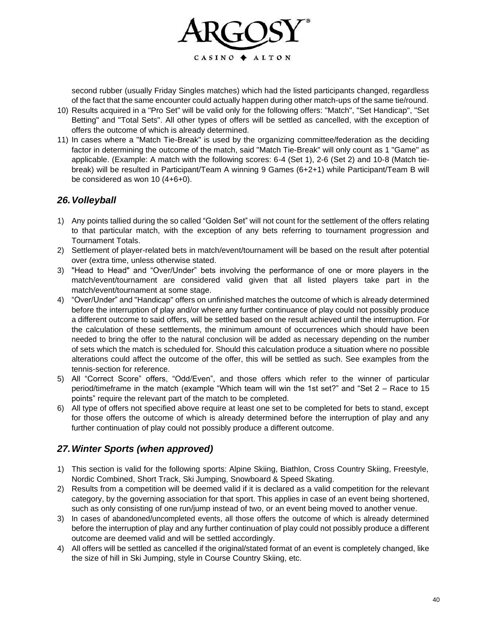

second rubber (usually Friday Singles matches) which had the listed participants changed, regardless of the fact that the same encounter could actually happen during other match-ups of the same tie/round.

- 10) Results acquired in a "Pro Set" will be valid only for the following offers: "Match", "Set Handicap", "Set Betting" and "Total Sets". All other types of offers will be settled as cancelled, with the exception of offers the outcome of which is already determined.
- 11) In cases where a "Match Tie-Break" is used by the organizing committee/federation as the deciding factor in determining the outcome of the match, said "Match Tie-Break" will only count as 1 "Game" as applicable. (Example: A match with the following scores: 6-4 (Set 1), 2-6 (Set 2) and 10-8 (Match tiebreak) will be resulted in Participant/Team A winning 9 Games (6+2+1) while Participant/Team B will be considered as won 10 (4+6+0).

#### *26.Volleyball*

- 1) Any points tallied during the so called "Golden Set" will not count for the settlement of the offers relating to that particular match, with the exception of any bets referring to tournament progression and Tournament Totals.
- 2) Settlement of player-related bets in match/event/tournament will be based on the result after potential over (extra time, unless otherwise stated.
- 3) "Head to Head" and "Over/Under" bets involving the performance of one or more players in the match/event/tournament are considered valid given that all listed players take part in the match/event/tournament at some stage.
- 4) "Over/Under" and "Handicap" offers on unfinished matches the outcome of which is already determined before the interruption of play and/or where any further continuance of play could not possibly produce a different outcome to said offers, will be settled based on the result achieved until the interruption. For the calculation of these settlements, the minimum amount of occurrences which should have been needed to bring the offer to the natural conclusion will be added as necessary depending on the number of sets which the match is scheduled for. Should this calculation produce a situation where no possible alterations could affect the outcome of the offer, this will be settled as such. See examples from the tennis-section for reference.
- 5) All "Correct Score" offers, "Odd/Even", and those offers which refer to the winner of particular period/timeframe in the match (example "Which team will win the 1st set?" and "Set 2 – Race to 15 points" require the relevant part of the match to be completed.
- 6) All type of offers not specified above require at least one set to be completed for bets to stand, except for those offers the outcome of which is already determined before the interruption of play and any further continuation of play could not possibly produce a different outcome.

#### *27.Winter Sports (when approved)*

- 1) This section is valid for the following sports: Alpine Skiing, Biathlon, Cross Country Skiing, Freestyle, Nordic Combined, Short Track, Ski Jumping, Snowboard & Speed Skating.
- 2) Results from a competition will be deemed valid if it is declared as a valid competition for the relevant category, by the governing association for that sport. This applies in case of an event being shortened, such as only consisting of one run/jump instead of two, or an event being moved to another venue.
- 3) In cases of abandoned/uncompleted events, all those offers the outcome of which is already determined before the interruption of play and any further continuation of play could not possibly produce a different outcome are deemed valid and will be settled accordingly.
- 4) All offers will be settled as cancelled if the original/stated format of an event is completely changed, like the size of hill in Ski Jumping, style in Course Country Skiing, etc.